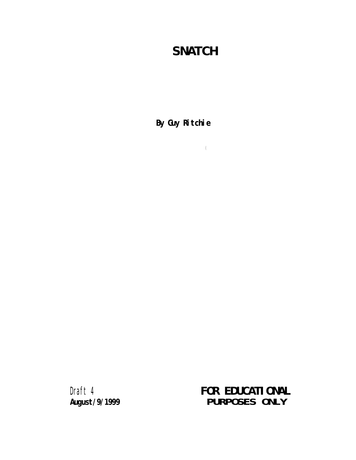# **SNATCH**

**By Guy Ritchie**

*(*

# Draft 4 **FOR EDUCATIONAL**<br>August/9/1999 **FURPOSES ONLY August/9/1999 PURPOSES ONLY**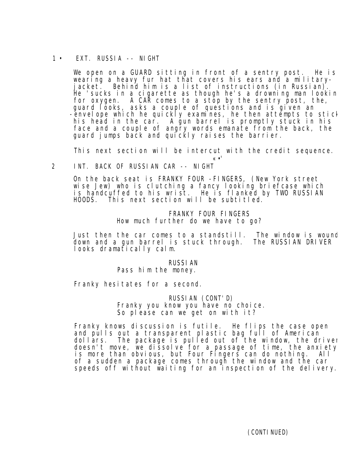## 1 • EXT. RUSSIA -- NIGHT

We open on a GUARD sitting in front of a sentry post. He is wearing a heavy fur hat that covers his ears and a militaryjacket. Behind him is a list of instructions (in Russian). He 'sucks in a cigarette as though he's a drowning man lookin for oxygen. A CAR comes to a stop by the sentry post, the, guard looks, asks a couple of questions and is given an -envelope which he quickly examines, he then attempts to stick his head in the car. A gun barrel is promptly stuck in his face and a couple of angry words emanate from the back, the guard jumps back and quickly raises the barrier.

*This next section will be intercut with the credit sequence.*

«•'

## 2 INT. BACK OF RUSSIAN CAR -- NIGHT

On the back seat is FRANKY FOUR -FINGERS, (New York street wise Jew) who is clutching a fancy looking briefcase which is handcuffed to his wrist. He is flanked by TWO RUSSIAN<br>HOODS. This *next section will be subtitled*. This *next section* will be *subtitled.* 

## FRANKY FOUR FINGERS How much further do we have to go?

Just then the car comes to a standstill. The window is wound<br>down and a gun barrel is stuck through. The RUSSIAN DRIVER down and a gun barrel is stuck through. looks dramatically calm.

#### RUSSIAN

Pass him the money.

Franky hesitates for a second.

RUSSIAN (CONT'D) Franky you know you have no choice. So please can we get on with it?

Franky knows discussion is futile. He flips the case open and pulls out a transparent plastic bag full of American dollars. The package is pulled out of the window, the driver doesn't move, we dissolve for a passage of time, the anxiety is more than obvious, but Four Fingers can do nothing. All of a sudden a package comes through the window and the car speeds off without waiting for an inspection of the delivery.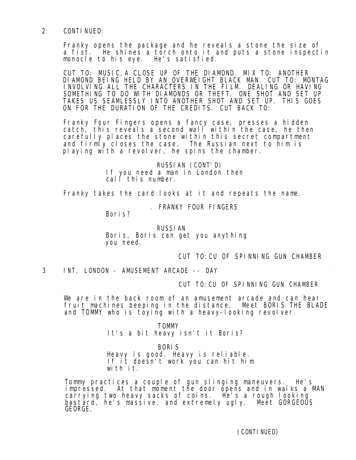## 2 CONTINUED:

Franky opens the package and he reveals a stone the size of a fist. He shines a torch onto it and puts a stone inspectir monocle to his eye. He's satisfied.

CUT TO: MUSIC,A CLOSE UP OF THE DIAMOND. MIX TO: ANOTHER DIAMOND BEING HELD BY AN OVERWEIGHT BLACK MAN. CUT TO: MONTAG INVOLVING ALL THE CHARACTERS IN THE FILM. DEALING OR HAVING SOMETHING TO DO WITH DIAMONDS OR THEFT. ONE SHOT AND SET UP TAKES US SEAMLESSLY INTO ANOTHER SHOT AND SET UP. THIS GOES ON FOR THE DURATION OF THE CREDITS. CUT BACK TO:

Franky Four Fingers opens a fancy case, presses a hidden catch, this reveals a second wall within the case, he then carefully places the stone within this secret compartment and firmly closes the case. The Russian next to him is playing with a revolver, he spins the chamber.

> RUSSIAN (CONT'D) If you need a man in London then call this number.

Franky takes the card looks at it and repeats the name.

. FRANKY FOUR FINGERS

Boris?

RUSSIAN Boris, Boris can get you anything you need.

CUT TO:CU OF SPINNING GUN CHAMBER

3 INT. LONDON - AMUSEMENT ARCADE -- DAY :

CUT TO:CU OF SPINNING GUN CHAMBER

We are in the back room of an amusement arcade and can hear fruit machines beeping in the distance. Meet BORIS THE BLADE and TOMMY who is toying with a heavy-looking revolver.

> TOMMY It's a bit heavy isn't it Boris?

> > BORIS

Heavy is good. Heavy is reliable. If it doesn't work you can hit him with it.

Tommy practices a couple of gun slinging maneuvers. He's impressed. At that moment the door opens and in walks a MAN carrying two heavy sacks of coins. He's a rough looking bastard, he's massive, and extremely ugly. Meet GORGEOUS GEORGE.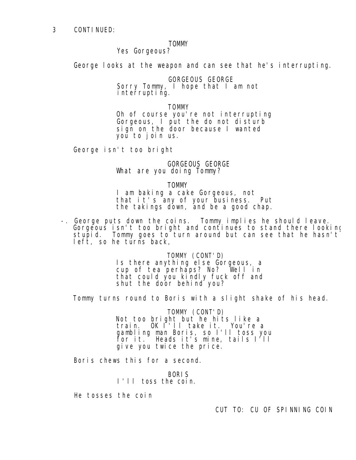## TOMMY

Yes Gorgeous?

George looks at the weapon and can see that he's interrupting.

GORGEOUS GEORGE Sorry Tommy, I hope that I am not interrupting.

#### TOMMY

Oh of course you're not interrupting Gorgeous, I put the do not disturb sign on the door because I wanted you to join us.

George isn't too bright

GORGEOUS GEORGE What are you doing Tommy?

## TOMMY

I am baking a cake Gorgeous, not that it's any of your business. Put the takings down, and be a good chap.

-. George puts down the coins. Tommy implies he should leave. Gorgeous isn't too bright and continues to stand there looking stupid. Tommy goes to turn around but can see that he hasn't left, so he turns back,

> TOMMY (CONT'D) Is there anything else Gorgeous, a cup of tea perhaps? No? Well in that could you kindly fuck off and shut the door behind you?

Tommy turns round to Boris with a slight shake of his head.

TOMMY (CONT'D) Not too bright but he hits like a train. OK I'll take it. You're a gambling man Boris, so I'll toss you for it. Heads it's mine, tails I'll give you twice the price.

Boris chews this for a second.

BORIS I'll toss the coin.

He tosses the coin

CUT TO: CU OF SPINNING COIN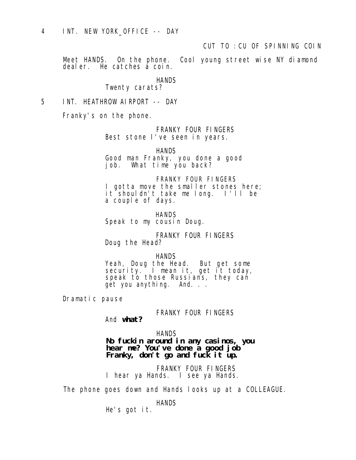## CUT TO :CU OF SPINNING COIN

Meet HANDS. On the phone. Cool young street wise NY diamond dealer. He catches a coin.

# **HANDS**

Twenty carats?

## 5 INT. HEATHROW AIRPORT -- DAY

Franky's on the phone.

## FRANKY FOUR FINGERS Best stone I've seen in years.

**HANDS** 

Good man Franky, you done a good job. What time you back?

## FRANKY FOUR FINGERS

I gotta move the smaller stones here; it shouldn't take me long. I'll be a couple of days.

**HANDS** Speak to my cousin Doug.

FRANKY FOUR FINGERS Doug the Head?

#### HANDS

Yeah, Doug the Head. But get some security. I mean it, get it today, speak to those Russians, they can get you anything. And. . .

Dramatic pause

## FRANKY FOUR FINGERS

And **what?**

#### **HANDS**

**No fuckin around in any casinos, you hear me? You've done a good job Franky, don't go and fuck it up.**

FRANKY FOUR FINGERS I hear ya Hands. I see ya Hands.

The phone goes down and Hands looks up at a COLLEAGUE.

#### **HANDS**

He's got it.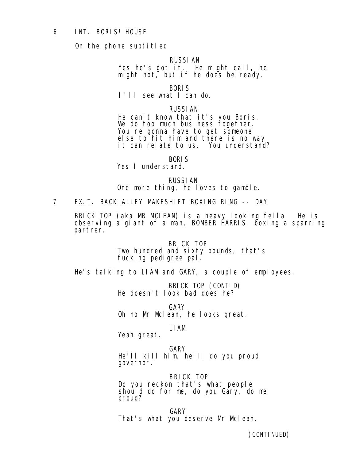## 6 INT. BORIS<sup>1</sup> HOUSE

On the phone subtitled

#### RUSSIAN

Yes he's got it. He might call, he might not, but if he does be ready.

BORIS

I'll see what I can do.

## RUSSIAN

He can't know that it's you Boris. We do too much business together. You're gonna have to get someone else to hit him and there is no way it can relate to us. You understand?

#### BORIS

Yes I understand.

RUSSIAN One more thing, he loves to gamble.

7 EX.T. BACK ALLEY MAKESHIFT BOXING RING -- DAY

BRICK TOP (aka MR MCLEAN) is a heavy looking fella. He is observing a giant of a man, BOMBER HARRIS, boxing a sparring partner.

> BRICK TOP Two hundred and sixty pounds, that's fucking pedigree pal.

He's talking to LIAM and GARY, a couple of employees.

BRICK TOP (CONT'D) He doesn't look bad does he?

GARY Oh no Mr Mclean, he looks great.

## LIAM

Yeah great.

## GARY

He'll kill him, he'll do you proud governor.

BRICK TOP Do you reckon that's what people should do for me, do you Gary, do me proud?

GARY That's what you deserve Mr Mclean.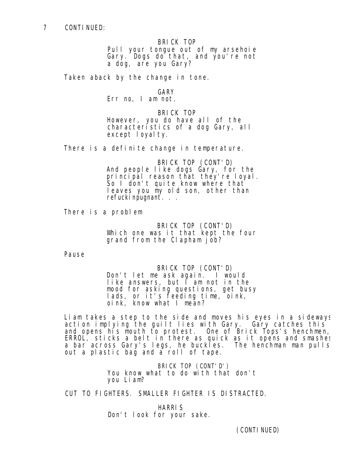## BRICK TOP

Pull your tongue out of my arsehoie Gary. Dogs do that, and you're not a dog, are you Gary?

Taken aback by the change in tone.

## GARY

Err no, I am not.

## BRICK TOP

However, you do have all of the characteristics of a dog Gary, all except loyalty.

There is a definite change in temperature.

BRICK TOP (CONT'D) And people like dogs Gary, for the principal reason that they're loyal. So I don't quite know where that leaves you my old son, other than refuckinpugnant. . .

There is *a* problem

## BRICK TOP (CONT'D) Which one was it that kept the four grand from the Clapham job?

Pause

## BRICK TOP (CONT'D) Don't let me ask again. I would like answers, but I am not in the mood for asking questions, get busy lads, or it's feeding time, oink, oink, know what I mean?

Liam takes a step to the side and moves his eyes in a sideways action implying the guilt lies with Gary. Gary catches this and opens his mouth to protest. One of Brick Tops's henchmen, ERROL, sticks a belt in there as quick as it opens and smashes a bar across Gary's legs, he buckles. The henchman man pulls out a plastic bag and a roll of tape.

> BRICK TOP (CONT'D') You know what to do with that don't you Liam?

CUT TO FIGHTERS. SMALLER FIGHTER IS DISTRACTED.

HARRIS Don't look for your sake.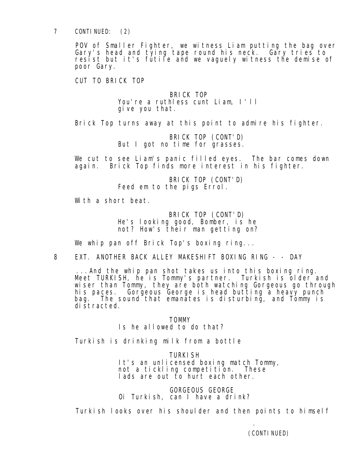## 7 CONTINUED: (2)

POV of Smaller Fighter, we witness Liam putting the bag over Gary's head and tying tape round his neck. Gary tries to resist but it's futile and we vaguely witness the demise of poor Gary.

CUT TO BRICK TOP

BRICK TOP You're a ruthless cunt Liam, I'll give you that.

Brick Top turns away at this point to admire his fighter.

BRICK TOP (CONT'D) But I got no time for grasses.

We cut to see Liam's panic filled eyes. The bar comes down again. Brick Top finds more interest in his fighter.

> BRICK TOP (CONT'D) Feed em to the pigs Errol.

With a short beat.

BRICK TOP (CONT'D) He's looking good, Bomber, is he not? How's their man getting on?

We whip pan off Brick Top's boxing ring...

8 EXT. ANOTHER BACK ALLEY MAKESHIFT BOXING RING - - DAY

...And the whip pan shot takes us into this boxing ring. Meet TURKISH, he is Tommy's partner. Turkish is older and wiser than Tommy, they are both watching Gorgeous go through his paces. Gorgeous George is head butting a heavy punch bag. The sound that emanates is disturbing, and Tommy is distracted.

TOMMY

Is he allowed to do that?

Turkish is drinking milk from a bottle

TURKISH

It's an unlicensed boxing match Tommy, not a tickling competition. These lads are out to hurt each other.

GORGEOUS GEORGE Oi Turkish, can I have a drink?

Turkish looks over his shoulder and then points to himself

(CONTINUED)

v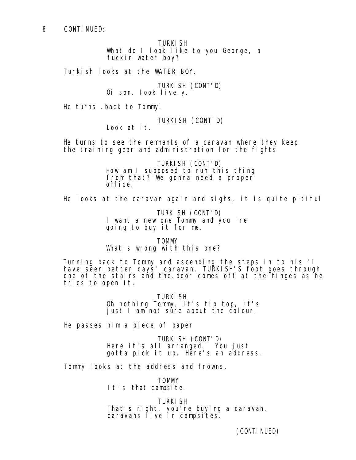TURKI SH What do I look like to you George, a fuckin water boy?

Turkish looks at the WATER BOY.

## TURKISH (CONT'D) Oi son, look lively.

He turns .back to Tommy.

TURKISH (CONT'D)

Look at it.

He turns to see the remnants of a caravan where they keep the training gear and administration for the fights

> TURKISH (CONT'D) How am I supposed to run this thing from that? We gonna need a proper office.

He looks at the caravan again and sighs, it is quite pitiful

TURKISH (CONT'D) I want a new one Tommy and you 're going to buy it for me.

#### TOMMY

What's wrong with this one?

Turning back to Tommy and ascending the steps in to his "I have seen better days" caravan, TURKISH'S foot goes through one of the stairs and the.door comes off at the hinges as he tries to open it.

> **TURKI SH** Oh nothing Tommy, it's tip top, it's just I am not sure about the colour.

He passes him a piece of paper

TURKISH (CONT'D) Here it's all arranged. You just gotta pick it up. Here's an address.

Tommy looks at the address and frowns.

#### TOMMY

It's that campsite.

TURKISH

That's right, you're buying a caravan, caravans live in campsites.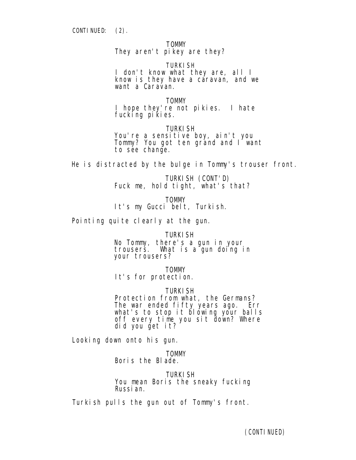CONTINUED: (2).

#### TOMMY

They aren't pikey are they?

TURKISH I don't know what they are, all I know is they have a caravan, and we want a Caravan.

## TOMMY

I hope they're not pikies. I hate fucking pi kies.

## **TURKI SH**

You're a sensitive boy, ain't you Tommy? You got ten grand and I want to see change.

He is distracted by the bulge in Tommy's trouser front.

TURKISH (CONT'D) Fuck me, hold tight, what's that?

TOMMY It's my Gucci belt, Turkish.

Pointing quite clearly at the gun.

## TURKISH

No Tommy, there's a gun in your trousers. What is a gun doing in your trousers?

TOMMY

It's for protection.

## TURKISH

Protection from what, the Germans? The war ended fifty years ago. Err what's to stop it blowing your balls off every time you sit down? Where did you get it?

Looking down onto his gun.

#### TOMMY

Boris the Blade.

## TURKISH

You mean Boris the sneaky fucking Russian.

Turkish pulls the gun out of Tommy's front.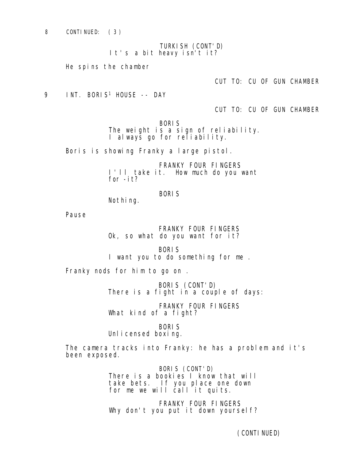8 CONTINUED: ( 3 )

## TURKISH (CONT'D) I t' s a bit heavy isn't it?

He spins the chamber

## CUT TO: CU OF GUN CHAMBER

9 INT. BORIS<sup>1</sup> HOUSE -- DAY

CUT TO: CU OF GUN CHAMBER

BORIS The weight is a sign of reliability. I always go for reliability.

Boris is showing Franky a large pistol.

FRANKY FOUR FINGERS I'll take it. How much do you want for -it?

#### BORIS

Nothing.

Pause

FRANKY FOUR FINGERS Ok, so what do you want for it?

BORIS I want you to do something for me .

Franky nods for him to go on .

BORIS (CONT'D) There is a fight in a couple of days:

FRANKY FOUR FINGERS What kind of a fight?

## BORIS

Unl i censed boxing.

The camera tracks into Franky: he has a problem and it's been exposed.

> BORIS (CONT'D) There is a bookies I know that will take bets. If you place one down for me we will call it quits.

FRANKY FOUR FINGERS Why don't you put it down yourself?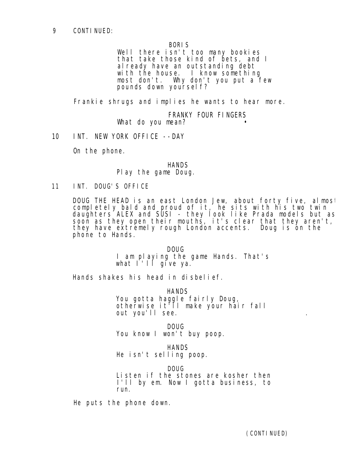### BORIS

Well there isn't too many bookies that take those kind of bets, and I already have an outstanding debt with the house. I know something most don't. Why don't you put a few pounds down yourself?

Frankie shrugs and implies he wants to hear more.

FRANKY FOUR FINGERS What do you mean?

10 INT. NEW YORK OFFICE --DAY

On the phone.

#### HANDS

Play the game Doug.

11 INT. DOUG'S OFFICE

DOUG THE HEAD is an east London Jew, about forty five, almost completely bald and proud of it, he sits with his two twin daughters ALEX and SUSI - they look like Prada models but as soon as they open their mouths, it's clear that they aren't, they have extremely rough London accents. Doug is on the phone to Hands.

> DOUG I am playing the game Hands. That's what I'll give ya.

Hands shakes his head in disbelief.

**HANDS** You gotta haggle fairly Doug, otherwise it'll make your hair fall out you'll see. .

DOUG You know I won't buy poop.

**HANDS** He isn't selling poop.

DOUG

Listen if the stones are kosher then I'll by em. Now I gotta business, to run.

He puts the phone down.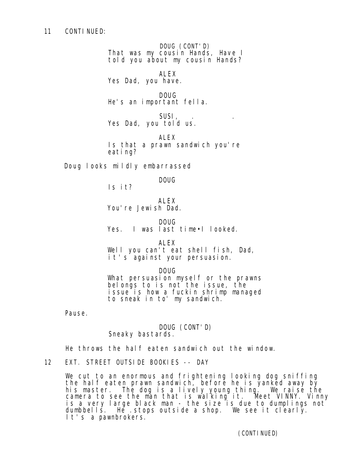## 11 CONTINUED:

DOUG (CONT'D) That was my cousin Hands, Have I told you about my cousin Hands?

ALEX Yes Dad, you have.

DOUG He's an important fella.

 $SUSI$ , Yes Dad, you told us.

ALEX Is that a prawn sandwich you're eating?

Doug looks mildly embarrassed

DOUG

Is it?

ALEX You're Jewish Dad.

DOUG Yes. I was last time•I looked.

ALEX Well you can't eat shell fish, Dad, it's against your persuasion.

DOUG

What persuasion myself or the prawns belongs to is not the issue, the issue is how a fuckin shrimp managed to sneak in to' my sandwich.

Pause.

## DOUG (CONT'D) Sneaky bastards.

He throws the half eaten sandwich out the window.

12 EXT. STREET OUTSIDE BOOKIES -- DAY

We cut to an enormous and frightening looking dog sniffing the half eaten prawn sandwich, before he is yanked away by his master. The dog is a lively young thing. We raise the camera to see the man that is walking it. Meet VINNY. Vinny is a very large black man - the size is due to dumplings not dumbbells. He stops outside a shop. We see it clearly. It's a pawnbrokers.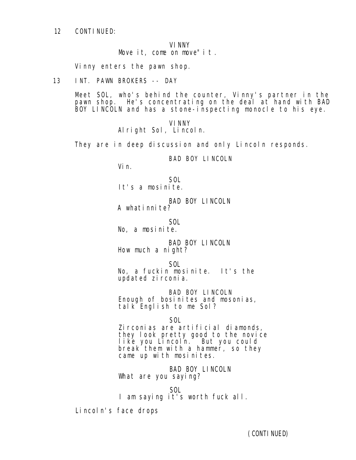# VINNY

# Move it, come on move" it.

Vinny enters the pawn shop.

13 INT. PAWN BROKERS -- DAY

Meet SOL, who's behind the counter, Vinny's partner in the pawn shop. He's concentrating on the deal at hand with BAD BOY LINCOLN and has a stone-inspecting monocle to his eye.

> VINNY Alright Sol, Lincoln.

They are in deep discussion and only Lincoln responds.

BAD BOY LINCOLN

Vin.

SOL It's a mosinite.

BAD BOY LINCOLN A whatinnite?

SOL

No, a mosinite.

BAD BOY LINCOLN How much a night?

SOL

No, a fuckin mosinite. It's the updated zirconia.

BAD BOY LINCOLN Enough of bosinites and mosonias, talk English to me Sol?

SOL

Zirconias are artificial diamonds, they look pretty good to the novice like you Lincoln. But you could break them with a hammer, so they came up with mosinites.

BAD BOY LINCOLN What are you saying?

SOL

I am saying it's worth fuck all.

Lincoln's face drops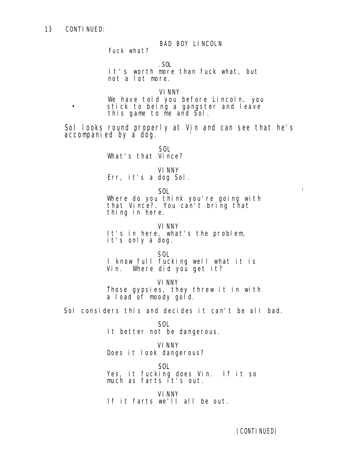## BAD BOY LINCOLN

Fuck what?

.SOL

It's worth more than fuck what, but not a lot more.

#### VINNY

We have told you before Lincoln, you • stick to being a gangster and leave this game to me and Sol.

Sol looks round properly at Vin and can see that he's accompanied by a dog.

> SOL What's that Vince?

> > VINNY

Err, it's a dog Sol.

SOL ' Where do you think you're going with that Vince?. You can't bring that thing in here.

VI NNY It's in here, what's the problem, it's only a dog.

SOL

I know full fucking well what it is Vin. Where did you get it?

VINNY Those gypsies, they threw it in with a load of moody gold.

Sol considers this and decides it can't be all bad.

SOL It better not be dangerous.

VINNY Does it look dangerous?

SOL Yes, it fucking does Vin. If it so much as farts it's out.

VINNY If it farts we'll all be out.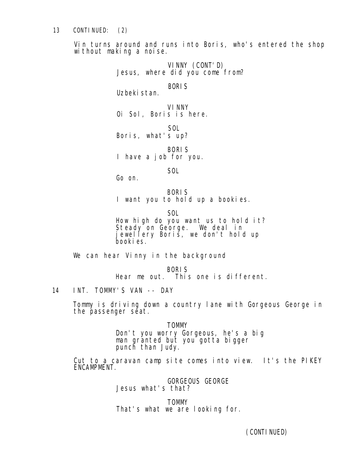#### 13 CONTINUED: (2)

Vin turns around and runs into Boris, who's entered the shop without making *a* noise.

> VINNY (CONT'D) Jesus, where did you come from?

## BORIS

Uzbeki stan.

VI NNY Oi Sol, Boris is here.

SOL Boris, what's up?

BORIS I have a job for you.

SOL

Go on.

BORIS *I* want you to hold up a bookies.

SOL

How high do you want us to hold it? Steady on George. We deal in jewellery Boris, we don't hold up bookies.

We can hear Vinny in the background

BORIS Hear me out. This one is different.

14 INT. TOMMY'S VAN -- DAY

Tommy is driving down a country lane with Gorgeous George in the passenger seat.

#### TOMMY

Don't you worry Gorgeous, he's a big man granted but you gotta bigger punch than Judy.

Cut to a caravan camp site comes into view. It's the PIKEY ENCAMPMENT.

## GORGEOUS GEORGE Jesus what's that?

TOMMY That's what we are looking for.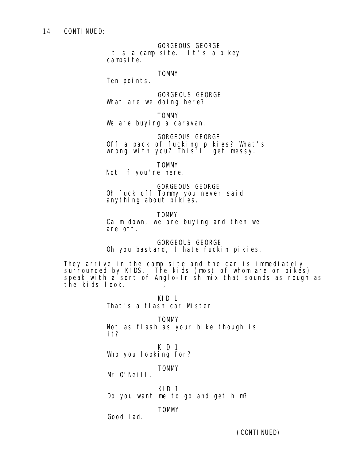## 14 CONTINUED:

## GORGEOUS GEORGE

It's a camp site. It's a pikey campsite.

#### TOMMY

Ten points.

GORGEOUS GEORGE What are we doing here?

#### TOMMY

We are buying a caravan.

GORGEOUS GEORGE Off a pack of fucking pikies? What's wrong with you? This'll get messy.

TOMMY

Not if you're here.

GORGEOUS GEORGE Oh fuck off Tommy you never said anything about pikies.

TOMMY Calm down, we are buying and then we are off.

GORGEOUS GEORGE Oh you bastard, I hate fuckin pikies.

They arrive in the camp site and the car is immediately surrounded by KIDS. The kids (most of whom are on bikes) speak with a sort of Anglo-Irish mix that sounds as rough as the kids look. ,

## KID 1 That's a flash car Mister.

TOMMY Not as flash as your bike though is it?

KID 1 Who you looking for?

TOMMY

Mr O'Neill.

KID 1 Do you want me to go and get him?

## TOMMY

Good lad.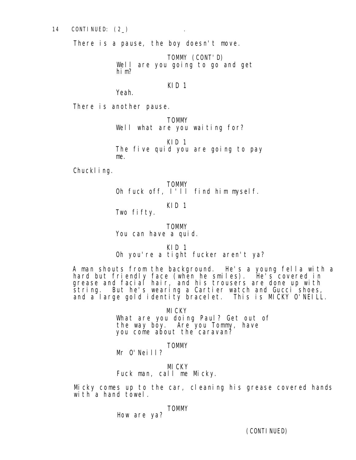14 CONTINUED: (2)

There is a pause, the boy doesn't move.

TOMMY (CONT'D) Well are you going to go and get him?

## KID 1

Yeah.

There is another pause.

TOMMY Well what are you waiting for?

KID 1 The five quid you are going to pay me.

Chuckl ing.

TOMMY Oh fuck off, I'll find him myself.

KID 1

Two fifty.

TOMMY You can have a quid.

KID 1

Oh you're a tight fucker aren't ya?

A man shouts from the background. He's a young fella with a hard but friendly face (when he smiles). He's covered in grease and facial hair, and his trousers are done up with string. But he's wearing a Cartier watch and Gucci shoes, and a large gold identity bracelet. This is MICKY O'NEILL.

MI CKY

What are you doing Paul? Get out of the way boy. Are you Tommy, have you come about the caravan?

#### TOMMY

Mr O'Neill?

MI CKY Fuck man, call me Micky.

Micky comes up to the car, cleaning his grease covered hands with a hand towel.

## TOMMY

How are ya?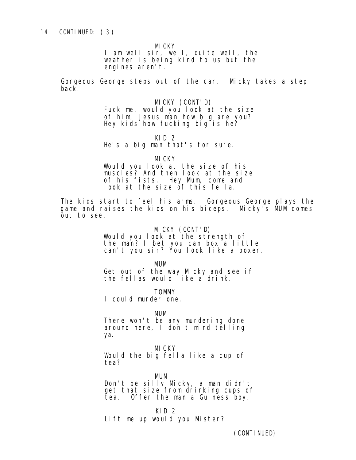MI CKY

I am well sir, well, quite well, the weather is being kind to us but the engines aren't.

Gorgeous George steps out of the car. Micky takes a step back.

MICKY (CONT'D)

Fuck me, would you look at the size of him, Jesus man how big are you? Hey kids how fucking big is he?

KID 2

He's a big man that's for sure.

#### MICKY

Would you look at the size of his muscles? And then look at the size of his fists. Hey Mum, come and look at the size of this fella.

The kids start to feel his arms. Gorgeous George plays the game and raises the kids on his biceps. Micky's MUM comes out to see.

## MICKY (CONT'D)

Would you look at the strength of the man? I bet you can box a little can't you sir? You look like a boxer.

MUM

Get out of the way Micky and see if the fellas would like a drink.

TOMMY

*I* could murder one.

MUM

There won't be any murdering done around here, I don't mind telling ya.

#### MI CKY

Would the big fella like a cup of tea?

MUM

Don't be silly Micky, a man didn't get that size from drinking cups of tea. Offer the man a Guiness boy.

KID 2

Lift me up would you Mister?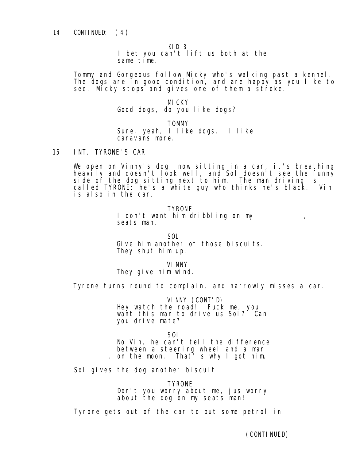#### KID 3

*I* bet you can't lift us both at the same time.

Tommy and Gorgeous follow Micky who's walking past a kennel. The dogs are in good condition, and are happy as you like to see. Micky stops and gives one of them a stroke.

#### MI CKY

Good dogs, do you like dogs?

TOMMY

Sure, yeah, I like dogs. I like caravans more.

#### 15 INT. TYRONE'S CAR

We open on Vinny's dog, now sitting in a car, it's breathing heavily and doesn't look well, and Sol doesn't see the funny side of the dog sitting next to him. The man driving is called TYRONE: he's a white guy who thinks he's black. Vin is also in the car.

#### **TYRONE**

I don't want him dribbling on my seats man.

SOL

Give him another of those biscuits. They shut him up.

#### VINNY

They give him wind.

Tyrone turns round to complain, and narrowly misses a car.

## VINNY (CONT'D) Hey watch the road! Fuck me, you want this man to drive us Sol? Can you drive mate?

#### SOL

No Vin, he can't tell the difference between a steering wheel and a man . on the moon. That' s why I got him.

Sol gives the dog another biscuit.

## TYRONE Don't you worry about me, jus worry about the dog on my seats man!

Tyrone gets out of the car to put some petrol in.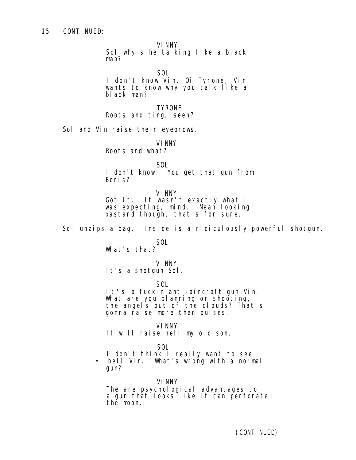#### VINNY

Sol why's he talking like a black man?

SOL

*I* don't know Vin. Oi Tyrone, Vin wants to know why you talk like a bl ack man?

#### TYRONE

Roots and ting, seen?

Sol and Vin raise their eyebrows.

**VI NNY** Roots and what?

SOL

I don't know. You get that gun from Boris?

VINNY

Got it. It wasn't exactly what I was expecting, mind. Mean looking bastard though, that's for sure.

Sol unzips a bag. Inside is a ridiculously powerful shotgun.

SOL

What's that?

VINNY

It's a shotgun Sol.

SOL

It's a fuckin anti-aircraft gun Vin. What are you planning on shooting, the angel's out of the clouds? That's gonna raise more than pulses.

VINNY It will raise hell my old son.

#### SOL

I don't think I really want to see hell Vin. What's wrong with a normal gun?

VINNY

The are psychological advantages to a gun that looks like it can perforate the moon.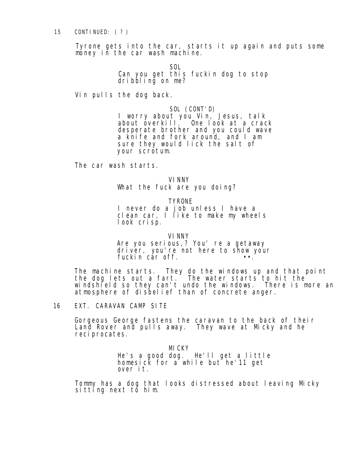#### 15 CONTINUED: ( ? )

Tyrone gets into the car, starts it up again and puts some money in the car wash machine.

> SOL Can you get this fuckin dog to stop dribbling on me?

Vin pulls the dog back.

## SOL (CONT'D)

I worry about you Vin, Jesus, talk about overkill. One look at a crack desperate brother and you could wave *a* knife and fork around, and I am sure they would lick the salt of your scrotum.

The car wash starts.

## VINNY

What the fuck are you doing?

## **TYRONE**

*I* never do a job unless I have a clean car, I like to make my wheels look crisp.

#### VINNY

Are you serious,? You' re a getaway driver, you're not here to show your fuckin car off.  $\bullet\bullet$ .

The machine starts. They do the windows up and that point the dog lets out a fart. The water starts to hit the windshield so they can't undo the windows. There is more an atmosphere of disbelief than of concrete anger.

16 EXT. CARAVAN CAMP SITE

Gorgeous George fastens the caravan to the back of their Land Rover and pulls away. They wave at Micky and he reci procates.

> MI CKY He's a good dog. He'll get a little homesick for a while but he'll get over it.

Tommy has a dog that looks distressed about leaving Micky sitting next to him.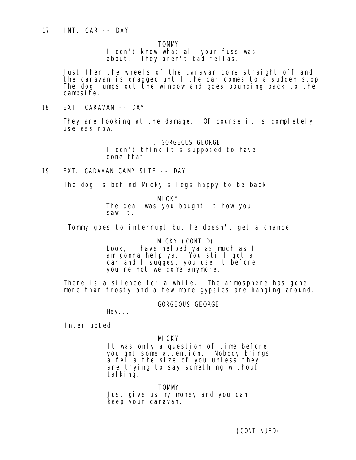TOMMY

*I* don't know what all your fuss was about. They aren't bad fellas.

Just then the wheels of the caravan come straight off and the caravan is dragged until the car comes to a sudden stop. The dog jumps out the window and goes bounding back to the campsite.

18 EXT. CARAVAN -- DAY

They are looking at the damage. Of course it's completely useless now.

. GORGEOUS GEORGE

*I* don't think it's supposed to have done that.

19 EXT. CARAVAN CAMP SITE -- DAY

The dog is behind Micky's legs happy to be back.

MI CKY The deal was you bought it how you saw it.

Tommy goes to interrupt but he doesn't get a chance

## MICKY (CONT'D) Look, I have helped ya as much as I am gonna help ya. You still got a car and I suggest you use it before you're not welcome anymore.

There is a silence for *a* while. The atmosphere has gone more than frosty and a few more gypsies are hanging around.

GORGEOUS GEORGE

Hey...

Interrupted

#### MI CKY

It was only a question of time before you got some attention. Nobody brings a fella the size of you unless they are trying to say something without tal king.

TOMMY Just give us my money and you can keep your caravan.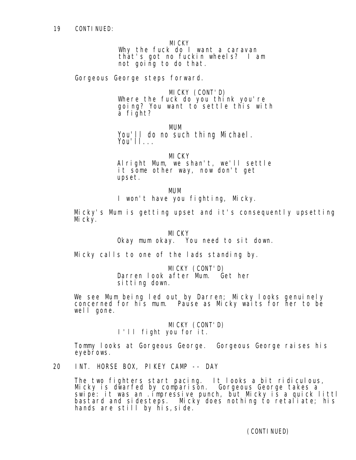MI CKY

Why the fuck do I want a caravan that's got no fuckin wheels? I am not going to do that.

Gorgeous George steps forward.

MICKY (CONT'D) Where the fuck do you think you're going? You want to settle this with a fight?

MUM You'll do no such thing Michael. You'll...

#### MI CKY

Alright Mum, we shan't, we'll settle it some other way, now don't get upset.

#### MUM

*I* won't have you fighting, Micky.

Micky's Mum is getting upset and it's consequently upsetting Micky.

#### MI CKY

Okay mum okay. You need to sit down.

Micky calls to one of the lads standing by.

# MICKY (CONT'D)

Darren look after Mum. Get her sitting down.

We see Mum being led out by Darren; Micky looks genuinely concerned for his mum. Pause as Micky waits for her to be well gone.

#### MICKY (CONT'D) I'll fight you for it.

Tommy looks at Gorgeous George. Gorgeous George raises his eyebrows.

## 20 INT. HORSE BOX, PIKEY CAMP -- DAY

The two fighters start pacing. It looks a bit ridiculous, Micky is dwarfed by comparison. Gorgeous George takes a swipe: it was an .impressive punch, but Micky is a quick littl bastard and sidesteps. Micky does nothing to retaliate; his hands are still by his, side.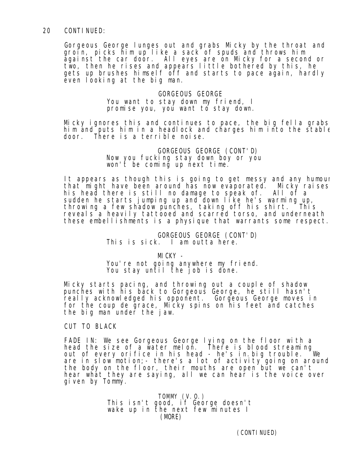## 20 CONTINUED:

Gorgeous George lunges out and grabs Micky by the throat and groin, picks him up like a sack of spuds and throws him against the car door. All eyes are on Micky for a second or two, then he rises and appears little bothered by this, he gets up brushes himself off and starts to pace again, hardly even looking at the big man.

## GORGEOUS GEORGE

You want to stay down my friend, I promise you, you want to stay down.

Micky ignores this and continues to pace, the big fella grabs him and puts him in a headlock and charges him into the stable door. There is *a* terrible noise.

> GORGEOUS GEORGE (CONT'D) Now you fucking stay down boy or you won't be coming up next time.

It appears as though this is going to get messy and any humour that might have been around has now evaporated. Micky raises his head there is still no damage to speak of. All of a sudden he starts jumping up and down like he's warming up, throwing a few shadow punches, taking off his shirt. This reveals a heavily tattooed and scarred torso, and underneath these embellishments is a physique that warrants some respect.

> GORGEOUS GEORGE (CONT'D) This is sick. I am outta here.

> > MICKY -

You're not going anywhere my friend. You stay until the job is done.

Micky starts pacing, and throwing out a couple of shadow punches with his back to Gorgeous George, he still hasn't really acknowledged his opponent. Gorgeous George moves in for the coup de grace, Micky spins on his feet and catches the big man under the jaw.

#### CUT TO BLACK

FADE IN: We see Gorgeous George lying on the floor with a head the size of a water melon. There is blood streaming out of every orifice in his head - he's in.big trouble. We are in slow motion;- there's a lot of activity going on around the body on the floor, their mouths are open but we can't hear what they are saying, all we can hear is the voice over given by Tommy.

> TOMMY  $(V. 0. )$ This isn't good, if George doesn't wake up in the next few minutes I (MORE)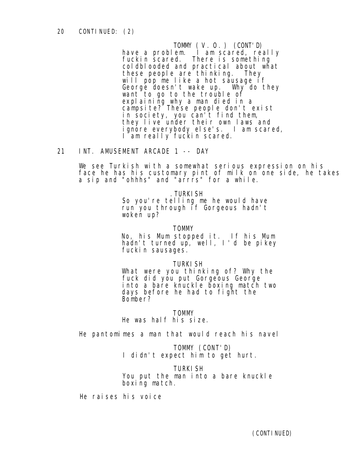TOMMY  $(V. 0.)$   $(CONT' D)$ have a problem. I am scared, really fuckin scared. There is something coldblooded and practical about what these people are thinking. They will pop me like a hot sausage if George doesn't wake up. Why do they want to go to the trouble of explaining why a man died in a campsite? These people don't exist in society, you can't find them, they live under their own laws and ignore everybody else's. I am scared, I am really fuckin scared.

## 21 INT. AMUSEMENT ARCADE 1 -- DAY

We see Turkish with a somewhat serious expression on his face he has his customary pint of milk on one side, he takes a sip and "ohhhs" and "arrrs" for a while.

> .TURKISH So you're telling me he would have run you through if Gorgeous hadn't woken up?

#### TOMMY

No, his Mum stopped it. If his Mum hadn't turned up, well, I'd be pikey fuckin sausages.

#### TURKI SH

What were you thinking of? Why the fuck did you put Gorgeous George into a bare knuckle boxing match two days before he had to fight the Bomber?

TOMMY

He was half his size.

He pantomimes a man that would reach his navel

TOMMY (CONT'D) I didn't expect him to get hurt.

#### TURKI SH

You put the man into a bare knuckle boxing match.

He raises his voice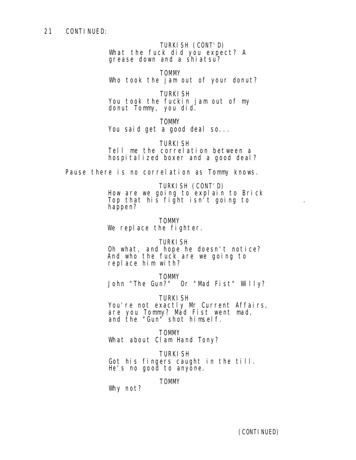TURKISH (CONT'D) What the fuck did you expect? A grease down and a shiatsu?

TOMMY Who took the jam out of your donut?

**TURKI SH** You took the fuckin jam out of my donut Tommy, you did.

TOMMY

You said get a good deal so...

**TURKI SH** Tell me the correlation between a hospitalized boxer and a good deal?

Pause there is no correlation as Tommy knows.

TURKISH (CONT'D) How are we going to explain to Brick Top that his fight isn't going to . happen?

TOMMY We replace the fighter.

TURKISH

Oh what, and hope he doesn't notice? And who the fuck are we going to replace him with?

TOMMY

John "The Gun?" Or "Mad Fist" Willy?

**TURKI SH** 

You're not exactly Mr Current Affairs, are you Tommy? Mad Fist went mad, and the "Gun" shot himself.

TOMMY

What about Clam Hand Tony?

TURKISH

Got his fingers caught in the till. He's no good to anyone.

TOMMY

Why not?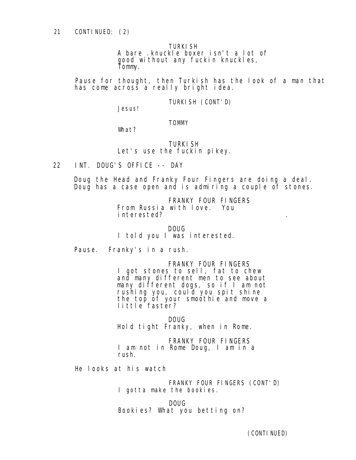TURKISH

A bare .knuckle boxer isn't a lot of good without any fuckin knuckles, Tommy.

Pause for thought, then Turkish has the look of a man that has come across a really bright idea.

TURKISH (CONT'D)

Jesus!

What?

TOMMY

## TURKISH Let's use the fuckin pikey.

22 INT. DOUG'S OFFICE -- DAY

Doug the Head and Franky Four Fingers are doing a deal. Doug has a case open and is admiring a couple of stones.

> FRANKY FOUR FINGERS From Russia with love. You interested?

DOUG I told you I was interested.

Pause. Franky's in a rush.

## FRANKY FOUR FINGERS

I got stones to sell, fat to chew and many different men to see about many different dogs, so if I am not rushing you, could you spit shine the top of your smoothie and move a little faster?

DOUG

Hold tight Franky, when in Rome.

FRANKY FOUR FINGERS I am not in Rome Doug, I am in a rush.

He looks at his watch

FRANKY FOUR FINGERS (CONT'D) I gotta make the bookies.

DOUG Bookies? What you betting on?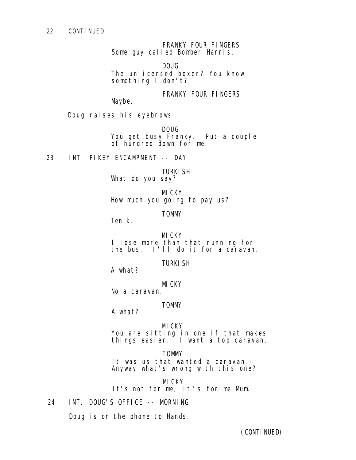FRANKY FOUR FINGERS Some guy called Bomber Harris.

**DOUG** The unlicensed boxer? You know something I don't?

## FRANKY FOUR FINGERS

Maybe.

Doug raises his eyebrows

DOUG You get busy Franky. Put a couple of hundred down for me.

23 INT. PIKEY ENCAMPMENT -- DAY

TURKISH What do you say?

MI CKY How much you going to pay us?

TOMMY

Ten k.

#### MI CKY

I lose more than that running for the bus. I'll do it for a caravan.

**TURKI SH** 

A what?

## MI CKY

No a caravan.

## TOMMY

A what?

#### MI CKY

You are sitting in one if that makes things easier. I want a top caravan.

## TOMMY

It was us that wanted a caravan.- Anyway what's wrong with this one?

**MICKY** It's not for me, it's for me Mum.

24 INT. DOUG'S OFFICE -- MORNING

Doug is on the phone to Hands.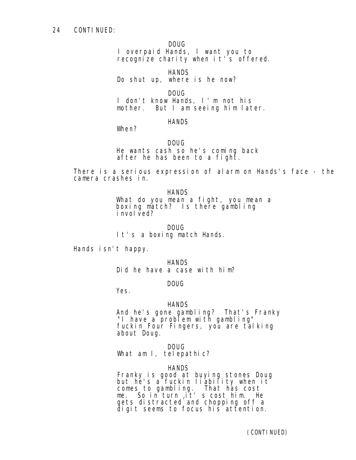DOUG

I overpaid Hands, I want you to recognize charity when it's offered.

HANDS Do shut up, where is he now?

DOUG I don't know Hands, I ' m not his mother. But I am seeing him later.

#### **HANDS**

When?

#### DOUG

He wants cash so he's coming back after he has been to a fight.

There is a serious expression of alarm on Hands's face - the camera crashes in.

#### **HANDS**

What do you mean a fight, you mean a boxing match? Is there gambling i nvol ved?

DOUG It's a boxing match Hands.

Hands isn't happy.

HANDS

Did he have a case with him?

## DOUG

Yes.

#### **HANDS**

And he's gone gambling? That's Franky "I have a problem with gambling" fuckin Four Fingers, you are talking about Doug.

DOUG

What am I, telepathic?

## HANDS

Franky is good at buying stones Doug but he's a fuckin liability when it comes to gambling. That has cost me. So in turn<sub>r</sub>it's cost him. He gets distracted and chopping off a digit seems to focus his attention.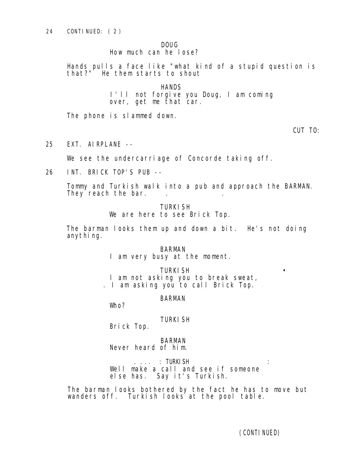## DOUG

## How much can he lose?

Hands pulls a face like "what kind of a stupid question is that?" He them starts to shout

## **HANDS**

I'll not forgive you Doug, *I* am coming over, get me that car.

The phone is slammed down.

CUT TO:

25 EXT. AIRPLANE --

We see the undercarriage of Concorde taking off.

26 INT. BRICK TOP'S PUB --

Tommy and Turkish walk into a pub and approach the BARMAN. They reach the bar. .

#### TURKISH

We are here to see Brick Top.

The barman looks them up and down a bit. He's not doing anything.

#### BARMAN

I am very busy at the moment.

TURKISH •

I am not asking you to break sweat, . *I* am asking you to call Brick Top.

## BARMAN

Who?

## **TURKI SH**

Brick Top.

# BARMAN

Never heard of him.

. . . .  $\therefore$  : TURKISH Well make a call and see if someone

else has. Say it's Turkish.

The barman looks bothered by the fact he has to move but wanders off. Turkish looks at the pool table.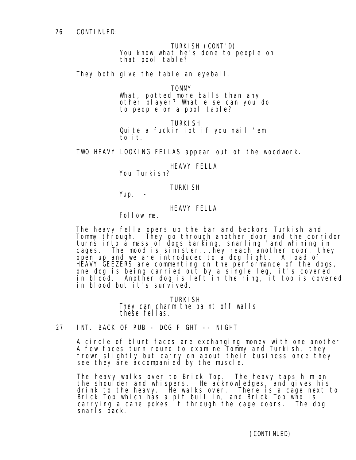TURKISH (CONT'D) You know what he's done to people on that pool table?

They both give the table an eyeball.

TOMMY What, potted more balls than any other player? What else can you do to people on a pool table?

TURKISH Quite a fuckin lot if you nail 'em to it.

TWO HEAVY LOOKING FELLAS appear out of the woodwork.

## HEAVY FELLA

You Turkish?

## **TURKI SH**

Yup. -

## HEAVY FELLA

Follow me.

The heavy fella opens up the bar and beckons Turkish and Tommy through. They go through another door and the corridor turns into a mass of dogs barking, snarling 'and whining in cages. The mood is sinister..they reach another door, they open up and we are introduced to a dog fight. A load of HEAVY GEEZERS are commenting on the performance of the dogs, one dog is being carried out by a single leg, it's covered in blood. Another dog is left in the ring, it too is covered in blood but it's survived.

> TURKISH They can charm the paint off walls these fellas.

27 INT. BACK OF PUB - DOG FIGHT -- NIGHT

A circle of blunt faces are exchanging money with one another A few faces turn round to examine Tommy and Turkish, they frown slightly but carry on about their business once they see they are accompanied by the muscle.

The heavy walks over to Brick Top. The heavy taps him on the shoulder and whispers. He acknowledges, and gives his drink to the heavy. He walks over. There is a cage next to Brick Top which has a pit bull in, and Brick Top who is carrying a cane pokes it through the cage doors. The dog snarls back.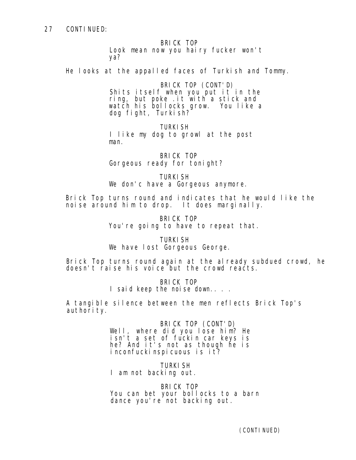## BRICK TOP

Look mean now you hairy fucker won't ya?

He looks at the appalled faces of Turkish and Tommy.

BRICK TOP (CONT'D) Shits itself when you put it in the ring, but poke .it with a stick and watch his bollocks grow. You like a dog fight, Turkish?

## TURKISH

I like my dog to growl at the post man.

BRICK TOP Gorgeous ready for tonight?

#### TURKISH

We don'c have a Gorgeous anymore.

Brick Top turns round and indicates that he would like the noise around him to drop. It does marginally.

> BRICK TOP You're going to have to repeat that.

#### **TURKI SH**

We have lost Gorgeous George.

Brick Top turns round again at the already subdued crowd, he doesn't raise his voice but the crowd reacts.

> BRICK TOP I said keep the noise down.. . .

A tangible silence between the men reflects Brick Top's authority.

## BRICK TOP (CONT'D)

Well, where did you lose him? He isn't a set of fuckin car keys is he? And it's not as though he is inconfuckinspicuous is it?

**TURKI SH** 

I am not backing out.

## BRICK TOP You can bet your bollocks to a barn dance you're not backing out.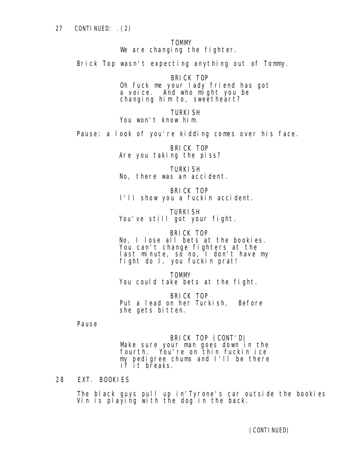TOMMY We are changing the fighter.

Brick Top wasn't expecting anything out of Tommy.

BRICK TOP Oh fuck me your lady friend has got a voice. And who might you *be* changing him to, sweetheart?

**TURKI SH** You won't know him.

Pause: a look of you're kidding comes over his face.

BRICK TOP Are you taking the piss?

TURKISH No, there was an accident.

BRICK TOP I'll show you a fuckin accident.

TURKISH You've still got your fight.

BRICK TOP No, *I* lose all bets at the bookies. You can't change fighters at the last minute, so no, I don't have my fight do I, you fuckin prat!

TOMMY You could take bets at the fight.

BRICK TOP Put a lead on her Turkish, she gets bitten. Before

Pause

BRICK TOP (CONT'D) Make sure your man goes down in the fourth. You're on thin fuckin ice my pedigree chums and I'll be there if it breaks.

## 28 EXT. BOOKIES

The black guys pull up in'Tyrone's car outside the bookies Vin is playing with the dog in the back.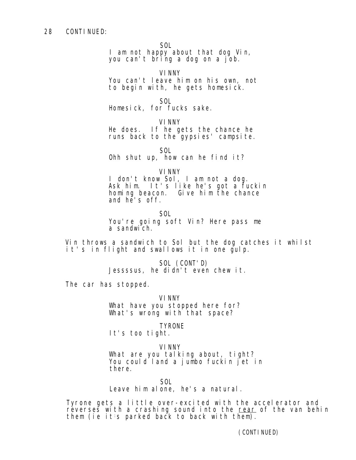SOL

I am not happy about that dog Vin, you can't bring a dog on a job.

VINNY

You can't leave him on his own, not to begin with, he gets homesick.

SOL

Homesick, for fucks sake.

VINNY

He does. If he gets the chance he runs back to the gypsies' campsite.

SOL

Ohh shut up, how can he find it?

VINNY

I don't know Sol, I am not a dog. Ask him. It's like he's got a fuckin homing beacon. Give him the chance and he's off.

SOL You're going soft Vin? Here pass me a sandwich.

Vin throws a sandwich to Sol but the dog catches it whilst it's in flight and swallows it in one gulp.

> SOL (CONT'D) Jessssus, he didn't even chew it.

The car has stopped.

VINNY What have you stopped here for? What's wrong with that space?

TYRONE

It's too tight.

## VINNY

What are you talking about, tight? You could land a jumbo fuckin jet in there.

SOL

Leave him alone, he's a natural.

Tyrone gets a little over-excited with the accelerator and reverses with a crashing sound into the rear of the van behin them (ie it:s parked back to back with them).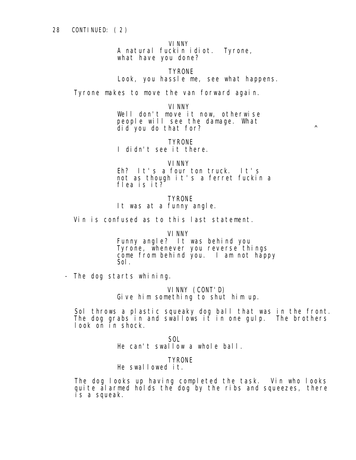## VINNY

A natural fuckin idiot. Tyrone, what have you done?

TYRONE Look, you hassle me, see what happens.

Tyrone makes to move the van forward again.

VINNY

Well don't move it now, otherwise people will see the damage. What did you do that for?

**TYRONE** 

I didn't see it there.

### VINNY

Eh? It's a four ton truck. It's not as though it's a ferret fuckin a flea is it?

## TYRONE

It was at a funny angle.

Vin is confused as to this last statement.

#### VINNY

Funny angle? It was behind you Tyrone, whenever you reverse things come from behind you. I am not happy Sol.

- The dog starts whining.

#### VINNY (CONT'D)

Give him something to shut him up.

Sol throws a plastic squeaky dog ball that was in the front. The dog grabs in and swallows it in one gulp. The brothers look on in shock.

SOL

He can't swallow a whole ball.

## TYRONE

He swallowed it.

The dog looks up having completed the task. Vin who looks quite alarmed holds the dog by the ribs and squeezes, there is a squeak.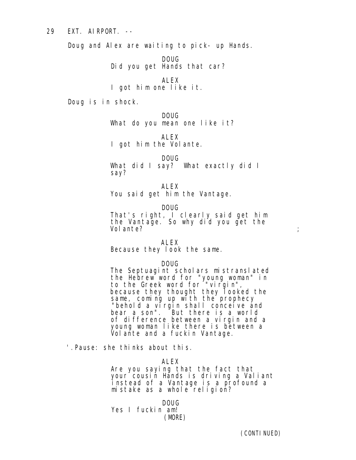29 EXT. AIRPORT. --

Doug and Alex are waiting to pick- up Hands.

DOUG

Did you get Hands that car?

# ALEX

# I got him one like it.

Doug is in shock.

DOUG What do you mean one like it?

ALEX I got him the Volante.

### DOUG

What did I say? What exactly did I say?

# ALEX

You said get him the Vantage.

# DOUG

That's right, I clearly said get him the Vantage. So why did you get the Vol ant e?

### ALEX

Because they look the same.

### DOUG

The Septuagint scholars mistranslated the Hebrew word for "young woman" in to the Greek word for "virgin", because they thought they looked the same, coming up with the prophecy "behold a virgin shall conceive and bear a son". But there is a world of difference between a virgin and a young woman like there is between a Volante and a fuckin Vantage.

'.Pause: she thinks about this.

## ALEX

Are you saying that the fact that your cousin Hands is driving a Valiant instead of a Vantage is a profound a mistake as a whole  $rel$ igion?

DOUG Yes I fuckin am! (MORE)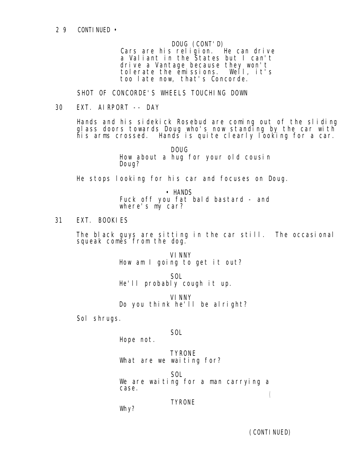DOUG (CONT'D) Cars are his religion. He can drive a Valiant in the States but I can't drive a Vantage because they won't tolerate the emissions. Well, it's too late now, that's Concorde.

SHOT OF CONCORDE'S WHEELS TOUCHING DOWN

# 30 EXT. AIRPORT -- DAY

Hands and his sidekick Rosebud are coming out of the sliding glass doors towards Doug who's now standing by the car with his arms crossed. Hands is quite clearly looking for a car.

> DOUG How about a hug for your old cousin Doug?

He stops looking for his car and focuses on Doug.

• HANDS Fuck off you fat bald bastard - and where's my car?

### 31 EXT. BOOKIES

The black guys are sitting in the car still. The occasional squeak comes from the dog.

> VINNY How am I going to get it out?

SOL He'll probably cough it up.

VINNY Do you think he'll be alright?

Sol shrugs.

SOL

Hope not.

TYRONE What are we waiting for?

SOL We are waiting for a man carrying a case.

# **TYRONE**

Why?

*(*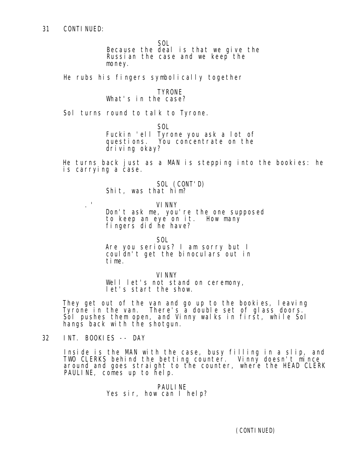SOL Because the deal is that we give the Russian the case and we keep the money.

He rubs his fingers symbolically together

### TYRONE

# What's in the case?

Sol turns round to talk to Tyrone.

SOL

Fuckin 'ell Tyrone you ask a lot of questions. You concentrate on the driving okay?

He turns back just as a MAN is stepping into the bookies: he is carrying a case.

> SOL (CONT'D) Shit, was that him?

> > VI NNY

Don't ask me, you're the one supposed to keep an eye on it. How many fingers did he have?

SOL

Are you serious? I am sorry but I couldn't get the binoculars out in time.

### VINNY

Well let's not stand on ceremony, let's start the show.

They get out of the van and go up to the bookies, leaving Tyrone in the van. There's a double set of glass doors. Sol pushes them open, and Vinny walks in first, while Sol hangs back with the shotgun.

# 32 INT. BOOKIES -- DAY

Inside is the MAN with the case, busy filling in a slip, and TWO CLERKS behind the betting counter. Vinny doesn't mince around and goes straight to the counter, where the HEAD CLERK PAULINE, comes up to help.

> PAULINE Yes sir, how can I help?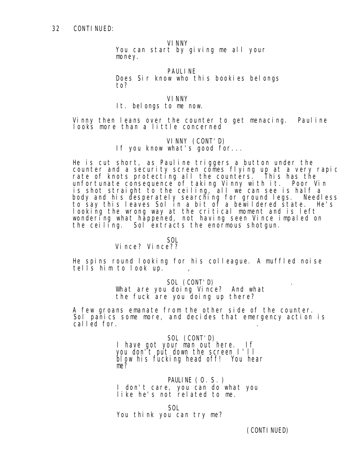### VINNY

You can start by giving me all your money.

#### PAULINE

Does Sir know who this bookies belongs to?

### VINNY

### It. belongs to me now.

Vinny then leans over the counter to get menacing. Pauline looks more than a little concerned

### VINNY (CONT'D)

If you know what's good for...

He is cut short, as Pauline triggers a button under the counter and a security screen comes flying up at a very rapid<br>rate of knots protecting all the counters. This has the rate of knots protecting all the counters. unfortunate consequence of taking Vinny with it. Poor Vin is shot straight to the ceiling, all we can see is half a body and his desperately searching for ground legs. Needless to say this leaves Sol in a bit of a bewildered state. He's looking the wrong way at the critical moment and is left wondering what happened, not having seen Vince impaled on the ceiling. Sol extracts the enormous shotgun.

#### SOL

Vince? Vince??

He spins round looking for his colleague. A muffled noise tells him to look up. ,

# SOL (CONT' D)

What are you doing Vince? And what the fuck are you doing up there?

A few groans emanate from the other side of the counter. Sol panics some more, and decides that emergency action is called for.

> SOL (CONT'D) I have got your man out here. If you don't put down the screen I'll blow his fucking head off! You hear me?

# PAULINE (0. S.)

I don't care, you can do what you like he's not related to me.

#### SOL

You think you can try me?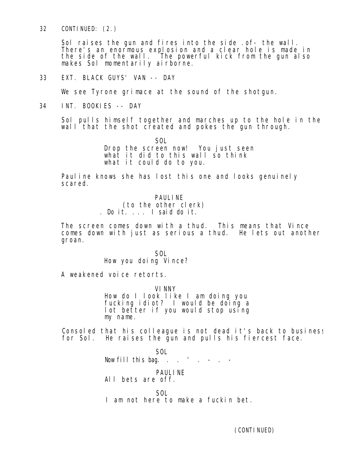32 CONTINUED: (2.)

Sol raises the gun and fires into the side .of- the wall. There's an enormous explosion and a clear hole is made in the side of the wall. The powerful kick from the gun also makes Sol momentarily airborne.

### 33 EXT. BLACK GUYS' VAN -- DAY

We see Tyrone grimace at the sound of the shotgun.

34 INT. BOOKIES -- DAY

Sol pulls himself together and marches up to the hole in the wall that the shot created and pokes the gun through.

> SOL Drop the screen now! You just seen what it did to this wall so think what it could do to you.

Pauline knows she has lost this one and looks genuinely scared.

> PAULINE (to the other clerk) . Do it. ... I said do it.

The screen comes down with a thud. This means that Vince comes down with just as serious a thud. He lets out another groan.

SOL

How you doing Vince?

A weakened voice retorts.

VINNY

How do I look like I am doing you fucking idiot? I would be doing a lot better if you would stop using my name.

Consoled that his colleague is not dead it's back to busines:<br>for Sol. He raises the gun and pulls his fiercest face. He raises the gun and pulls his fiercest face.

SOL

Now fill this bag... ' . - . -

PAULINE All bets are off.

SOL I am not here to make a fuckin bet.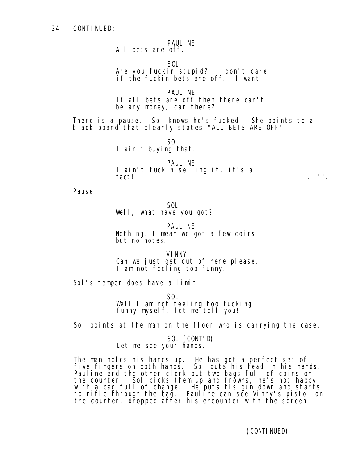# PAULINE

All bets are off.

SOL

Are you fuckin stupid? *I* don't care if the fuckin bets are off. I want...

PAULINE If all bets are off then there can't be any money, can there?

There is a pause. Sol knows he's fucked. She points to a black board that clearly states "ALL BETS ARE OFF"

> SOL I ain't buying that.

PAULI<sub>NE</sub> I ain't fuckin selling it, it's a  $\text{fact!}$  . '...

Pause

SOL

Well, what have you got?

PAULINE Nothing, I mean we got a few coins but no notes.

VINNY Can we just get out of here please. I am not feeling too funny.

Sol's temper does have a limit.

SOL Well I am not feeling too fucking

funny myself, let me tell you!

Sol points at the man on the floor who is carrying the case.

SOL (CONT'D) Let me see your hands.

The man holds his hands up. He has got a perfect set of five fingers on both hands. Sol puts his head in his hands. Pauline and the other clerk put two bags full of coins on the counter. Sol picks them up and frowns, he's not happy with a bag full of change. He puts his gun down and starts to rifle through the bag. Pauline can see Vinny's pistol on the counter, dropped after his encounter with the screen.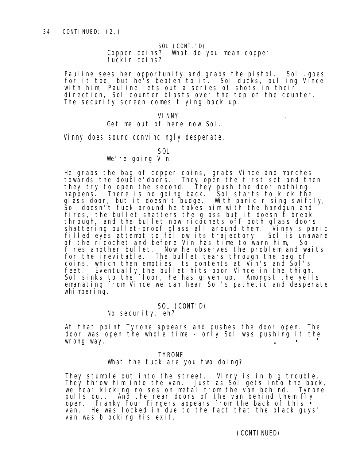#### SOL (CONT.'D) Copper coins? What do you mean copper fuckin coins?

Pauline sees her opportunity and grabs the pistol. Sol .goes for it too, but he's beaten to it. Sol ducks, pulling Vince with him, Pauline lets out a series of shots in their direction, Sol counter blasts over the top of the counter. The security screen comes flying back up.

### VINNY .

### Get me out of here now Sol.

Vinny does sound convincingly desperate.

#### SOL

# We're going Vin.

He grabs the bag of copper coins, grabs Vince and marches towards the double'doors. They open the first set and then they try to open the second. They push the door nothing happens. There is no going back. Sol starts to kick the glass door, but it doesn't budge. With panic rising swiftly, Sol doesn't fuck around he takes aim with the handgun and fires, the bullet shatters the glass but it doesn't break through, and the bullet now ricochets off both glass doors shattering bullet-proof glass all around them. Vinny's panic filled eyes attempt to follow its trajectory. Sol is unaware of the ricochet and before Vin has time to warn him, Sol fires another bullet. Now he observes the problem and waits for the inevitable. The bullet tears through the bag of coins, which then empties its contents at Vin's and Sol's feet. Eventually the bullet hits poor Vince in the thigh. Sol sinks to the floor, he has given up. Amongst the yells emanating from Vince we can hear Sol's pathetic and desperate whimpering.

### SOL (CONT'D) No security, eh?

At that point Tyrone appears and pushes the door open. The door was open the whole time - only Sol was pushing it the wrong way. *" • '*

> TYRONE What the fuck are you two doing?

They stumble out into the street. Vinny is in big trouble. They throw him into the van. Just as Sol gets into the back, we hear kicking noises on metal from the van behind. Tyrone we hear kicking noises on metal from the van behind. pulls out. And the rear doors of the van behind them fly open. Franky Four Fingers appears from the back of this • van. He was locked in due to the fact that the black guys' van was blocking his exit.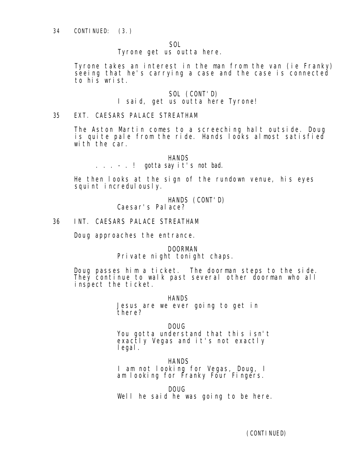#### SOL

Tyrone get us outta here.

Tyrone takes an interest in the man from the van (ie Franky) seeing that he's carrying a case and the case is connected to his wrist.

### SOL (CONT'D) I said, get us outta here Tyrone!

### 35 EXT. CAESARS PALACE STREATHAM

The Aston Martin comes to a screeching halt outside. Doug is quite pale from the ride. Hands looks almost satisfied with the car.

#### HANDS

. . . - . ! gotta say it's not bad.

He then looks at the sign of the rundown venue, his eyes squint incredulously.

> HANDS (CONT'D) Caesar's Palace?

### 36 INT. CAESARS PALACE STREATHAM

Doug approaches the entrance.

# DOORMAN

Private night tonight chaps.

Doug passes him a ticket. The doorman steps to the side. They continue to walk past several other doorman who all inspect the ticket.

#### HANDS

Jesus are we ever going to get in there?

### DOUG

You gotta understand that this isn't exactly Vegas and it's not exactly legal.

### **HANDS**

I am not looking for Vegas, Doug, I am looking for Franky Four Fingers.

DOUG

Well he said he was going to be here.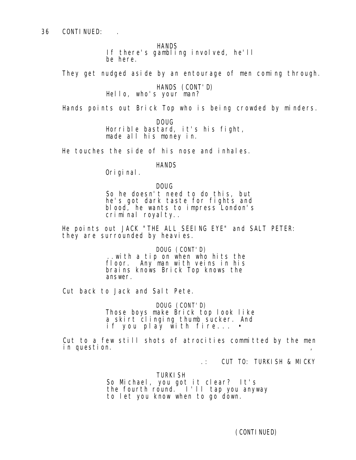**HANDS** If there's gambling involved, he'll be here.

They get nudged aside by an entourage of men coming through.

HANDS (CONT'D) Hello, who's your man?

Hands points out Brick Top who is being crowded by minders.

DOUG Horrible bastard, it's his fight, made all his money in.

He touches the side of his nose and inhales.

HANDS

Original.

### DOUG<sub></sub>

So he doesn't need to do this, but he's got dark taste for fights and blood, he wants to impress London's criminal royalty..

He points out JACK "THE ALL SEEING EYE" and SALT PETER: they are surrounded by heavies.

> DOUG (CONT'D) ..with a tip on when who hits the floor. Any man with veins in his brains knows Brick Top knows the answer.

Cut back to Jack and Salt Pete.

DOUG (CONT'D) Those boys make Brick top look like a skirt clinging thumb sucker. And if you play with fire... •

Cut to a few still shots of atrocities committed by the men in question.

.: CUT TO: TURKISH & MICKY

TURKISH

So Michael, you got it clear? It's the fourth round. I'll tap you anyway to let you know when to go down.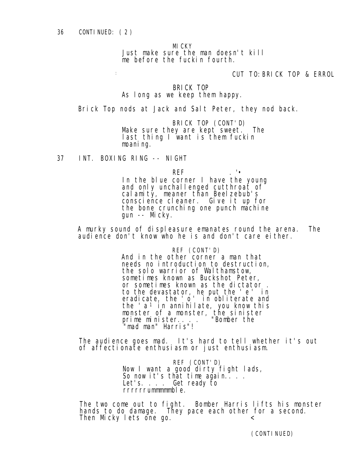MI CKY

Just make sure the man doesn't kill me before the fuckin fourth.

### : CUT TO:BRICK TOP & ERROL

### BRICK TOP As long as we keep them happy.

Brick Top nods at Jack and Salt Peter, they nod back.

BRICK TOP (CONT'D) Make sure they are kept sweet. The last thing I want is them fuckin moaning.

37 INT. BOXING RING -- NIGHT

 $REF$ 

In the blue corner I have the young and only unchallenged cutthroat of calamity, meaner than Beelzebub's conscience cleaner. Give it up for the bone crunching one punch machine gun -- Micky.

A murky sound of displeasure emanates round the arena. The audience don't know who he is and don't care either.

> REF (CONT'D) And in the other corner a man that needs no introduction to destruction, the solo warrior of Walthamstow, sometimes known as Buckshot Peter, or sometimes known as the dictator . to the devastator, he put the ' e ' in eradicate, the ' o' in obliterate and the  $'a<sup>1</sup>$  in annihilate, you know this monster of a monster, the sinister prime minister.. . . "Bomber the prime minister....<br>"mad man" Harris"!

The audience goes mad. It's hard to tell whether it's out of affectionate enthusiasm or just enthusiasm.

> REF (CONT'D) Now I want a good dirty fight lads, So now it's that time again.. . . Let's... Get ready to rrrrrrummmmmble.

The two come out to fight. Bomber Harris lifts his monster hands to do damage. They pace each other for a second. Then Micky lets one go. Then Micky lets one go.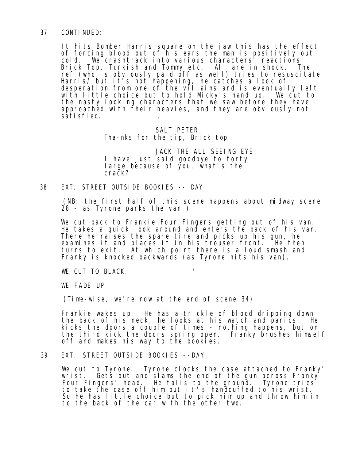It hits Bomber Harris square on the jaw this has the effect of forcing blood out of his ears the man is positively out cold. We crashtrack into various characters' reactions: We crashtrack into various characters' reactions: Brick Top, Turkish and Tommy etc. All are in shock. The ref (who is obviously paid off as well) tries to resuscitate Harris/ but it's not happening, he catches a look of desperation from one of the villains and is eventually left with little choice but to hold Micky's hand up. We cut to the nasty looking characters that we saw before they have approached with their heavies, and they are obviously not satisfied. .

# SALT PETER

Tha-nks for the tip, Brick top.

JACK THE ALL SEEING EYE I have just said goodbye to forty large because of you, what's the crack?

### 38 EXT. STREET OUTSIDE BOOKIES -- DAY

*(NB: the first half of this scene happens about midway scene 28 - as Tyrone parks the van )*

We cut back to Frankie Four Fingers getting out of his van. He takes a quick look around and enters the back of his van. There he raises the spare tire and picks up his gun, he examines it and places it in his trouser front. He then turns to exit. At which point there is a loud smash and Franky is knocked backwards (as Tyrone hits his van).

WE CUT TO BLACK.

WE FADE UP

*(Time-wise, we're now at the end of scene 34)*

Frankie wakes up. He has a trickle of blood dripping down the back of his neck, he looks at his watch and panics. He kicks the doors a couple of times - nothing happens, but on the third kick the doors spring open. Franky brushes himself off and makes his way to the bookies.

39 EXT. STREET OUTSIDE BOOKIES --DAY

We cut to Tyrone. Tyrone clocks the case attached to Franky' wrist. Gets out and slams the end of the gun across Franky Four Fingers' head. He falls to the ground. Tyrone tries to take the case off him but it's handcuffed to his wrist. So he has little choice but to pick him up and throw him in to the back of the car with the other two.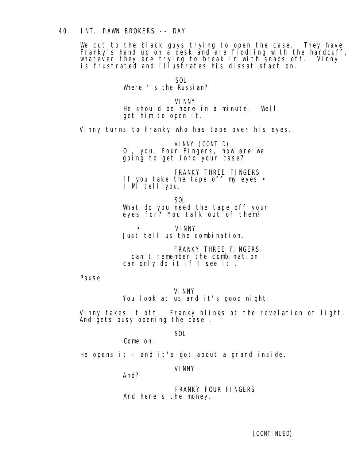We cut to the black guys trying to open the case. They have Franky's hand up on a desk and are fiddling with the handcuff, whatever they are trying to break in with snaps off. Vinny is frustrated and illustrates his dissatisfaction.

SOL

Where ' s the Russian?

VINNY He should be here in a minute. Well get him to open it.

Vinny turns to Franky who has tape over his eyes.

VINNY (CONT'D) Oi, you, Four Fingers, how are we going to get into your case?

FRANKY THREE FINGERS If you take the tape off my eyes • I Ml tell you.

SOL

What do you need the tape off your eyes for? You talk out of them?

• VINNY Just tell us the combination.

FRANKY THREE FINGERS I can't remember the combination I can only do it if I see it .

Pause

VINNY You look at us and it's good night.

Vinny takes it off. Franky blinks at the revelation of light. And gets busy opening the case .

SOL

Come on.

He opens it - and it's got about a grand inside.

VINNY

And?

FRANKY FOUR FINGERS And here's the money.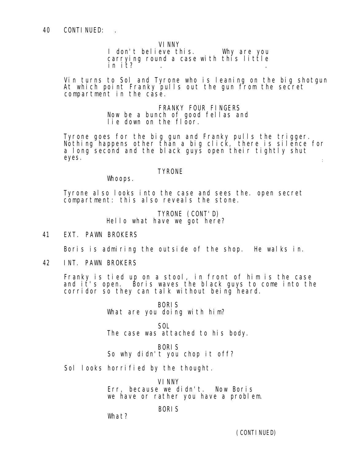# VINNY

I don't believe this. Why are you carrying round a case with this little in it?

Vin turns to Sol and Tyrone who is leaning on the big shotgun At which point Franky pulls out the gun from the secret compartment in the case.

> FRANKY FOUR FINGERS Now be a bunch of good fellas and lie down on the floor.

Tyrone goes for the big gun and Franky pulls the trigger. Nothing happens other than a big click, there is silence for a long second and the black guys open their tightly shut  $eyes.$  :

#### TYRONE

Whoops.

Tyrone also looks into the case and sees the. open secret compartment: this also reveals the stone.

> TYRONE (CONT'D) Hello what have we got here?

#### 41 EXT. PAWN BROKERS

Boris is admiring the outside of the shop. He walks in.

42 INT. PAWN BROKERS

Franky is tied up on a stool, in front of him is the case and it's open. Boris waves the black guys to come into the corridor so they can talk without being heard.

> BORIS What are you doing with him?

SOL The case was attached to his body.

BORIS So why didn't you chop it off?

Sol looks horrified by the thought.

VINNY Err, because we didn't. Now Boris we have or rather you have a problem.

BORIS

What?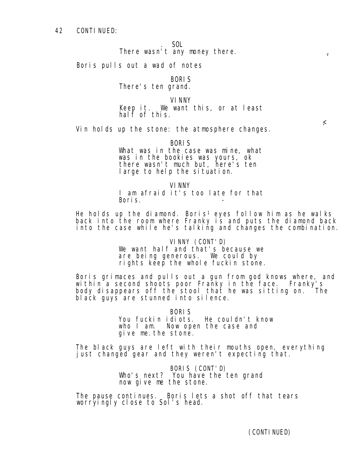. SOL There wasn't any money there.

Boris pulls out a wad of notes

### BORIS

There's ten grand.

#### VINNY

Keep it. We want this, or at least hal<sup>f</sup> of this.

Vin holds up the stone: the atmosphere changes.

### BORIS

What was in the case was mine, what was in the bookies was yours, ok there wasn't much but, here's ten large to help the situation.

#### VINNY

I am afraid it's too late for that Boris.

He holds up the diamond. Boris<sup>1</sup> eyes follow him as he walks back into the room where Franky is and puts the diamond back into the case while he's talking and changes the combination.

### VINNY (CONT'D) We want half and that's because we are being generous. We could by rights keep the whole fuckin stone.

Boris grimaces and pulls out a gun from god knows where, and within a second shoots poor Franky in the face. Franky's body disappears off the stool that he was sitting on. The black guys are stunned into silence.

#### BORIS

You fuckin idiots. He couldn't know who I am. Now open the case and give me.the stone.

The black guys are left with their mouths open, everything just changed gear and they weren't expecting that.

> BORIS (CONT'D) Who's next? You have the ten grand now give me the stone.

The pause continues. Boris lets a shot off that tears worryingly close to Sol's head.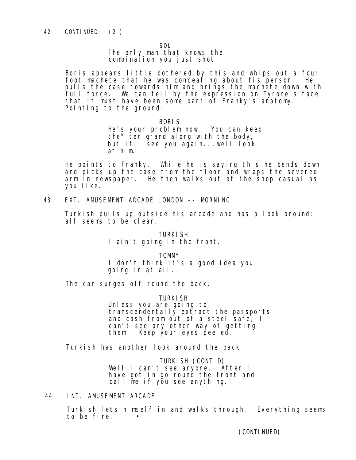SOL

The only man that knows the combination you just shot.

Boris appears little bothered by this and whips out a four foot machete that he was concealing about his person. He pulls the case towards him and brings the machete down with full force. We can tell by the expression on Tyrone's face that it must have been some part of Franky's anatomy. Pointing to the ground:

BORIS

He's your problem now. You can keep the" ten grand along with the body, but if I see you again...well look at him.

He points to Franky. While he is saying this he bends down and picks up the case from the floor and wraps the severed arm in newspaper. He then walks out of the shop casual as you like.

43 EXT. AMUSEMENT ARCADE LONDON -- MORNING

Turkish pulls up outside his arcade and has a look around: all seems to be clear.

> TURKI SH *I* ain't going in the front.

TOMMY I don't think it's a good idea you going in at all.

The car surges off round the back.

TURKISH

Unless you are going to transcendentally extract the passports and cash from out of a steel safe, I can't see any other way of getting them. Keep your eyes peeled.

Turkish has another look around the back

TURKISH (CONT'D) Well I can't see anyone. After I have got in go round the front and call me if you see anything.

# 44 INT. AMUSEMENT ARCADE

Turkish lets himself in and walks through. Everything seems to be fine. •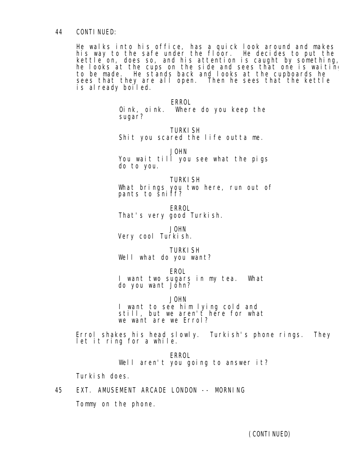He walks into his office, has *a* quick look around and makes his way to the safe under the floor. He decides to put the kettle on, does so, and his attention is caught by something, he looks at the cups on the side and sees that one is waiting to be made. He stands back and looks at the cupboards he sees that they are all open. Then he sees that the kettle is already boiled.

ERROL

Oink, oink. Where do you keep the sugar?

**TURKI SH** Shit you scared the life outta me.

JOHN

You wait till you see what the pigs do to you.

TURKISH What brings you two here, run out of pants to sniff?

ERROL That's very good Turkish.

JOHN Very cool Turkish.

TURKISH Well what do you want?

EROL

I want two sugars in my tea. What do you want John?

JOHN

I want to see him lying cold and still, but we aren't here for what we want are we Errol?

Errol shakes his head slowly. Turkish's phone rings. They let it ring for a while.

> ERROL Well aren't you going to answer it?

Turkish does.

45 EXT. AMUSEMENT ARCADE LONDON -- MORNING

Tommy on the phone.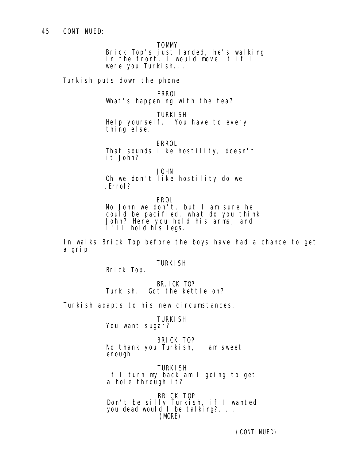#### TOMMY

Brick Top's just landed, he's walking in the front, *I* would move it if I were you Turkish...

Turkish puts down the phone

#### ERROL

What's happening with the tea?

### **TURKI SH**

Help yourself. You have to every thing else.

# ERROL

That sounds like hostility, doesn't it John?

JOHN

Oh we don't like hostility do we .Errol?

EROL

No John we don't, but I am sure he could be pacified, what do you think John? Here you hold his arms, and I'll hold his legs.

In walks Brick Top before the boys have had a chance to get a grip.

# **TURKI SH**

Brick Top.

# BR,ICK TOP Turkish. Got the kettle on?

Turkish adapts to his new circumstances.

### TURKISH

You want sugar?

BRICK TOP No thank you Turkish, I am sweet enough.

TURKISH If I turn my back am I going to get a hole through it?

BRICK TOP Don't be silly Turkish, if I wanted you dead would I be talking?. . . (MORE)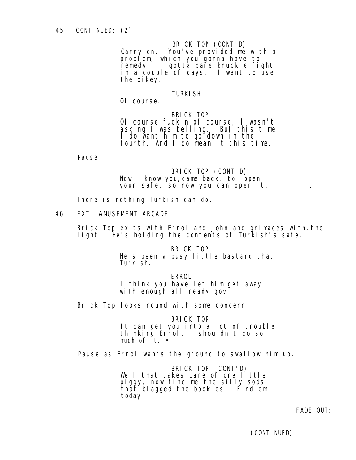### BRICK TOP (CONT'D)

Carry on. You've provided me with a problem, which you gonna have to remedy. I gotta bare knuckle fight in a couple of days. I want to use the pikey.

### TURKISH

Of course.

## BRICK TOP Of course fuckin of course, I wasn't asking I was telling. But this time I do want him to go down in the fourth. And I do mean it this time.

Pause

BRICK TOP (CONT'D) Now I know you,came back. to. open your safe, so now you can open it. .

There is nothing Turkish can do.

# 46 EXT. AMUSEMENT ARCADE

Brick Top exits with Errol and John and grimaces with.the light. He's holding the contents of Turkish's safe.

> BRICK TOP He's been a busy little bastard that Turkish.

> > ERROL

I think you have let him get away with enough all ready gov.

Brick Top looks round with some concern.

BRICK TOP It can get you into a lot of trouble thinking Errol, I shouldn't do so much of it.  $\cdot$ 

Pause as Errol wants the ground to swallow him up.

BRICK TOP (CONT'D) Well that takes care of one little piggy, now find me the silly sods that blagged the bookies. Find em today.

FADE OUT: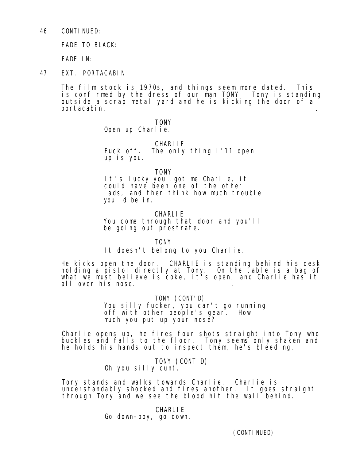46 CONTINUED:

FADE TO BLACK:

FADE IN:

47 EXT. PORTACABIN

The film stock is 1970s, and things seem more dated. This is confirmed by the dress of our man TONY. Tony is standing outside a scrap metal yard and he is kicking the door of a portacabin.

#### TONY

Open up Charlie.

CHARLIE Fuck off. The only thing I'11 open up is you.

TONY

It's lucky you .got me Charlie, it could have been one of the other lads, and then think how much trouble you' d be in.

CHARLIE You come through that door and you'll be going out prostrate.

#### TONY

### It doesn't belong to you Charlie.

He kicks open the door. CHARLIE is standing behind his desk holding a pistol directly at Tony. On the table is a bag of what we must believe is coke, it's open, and Charlie has it all over his nose.

> TONY (CONT'D) You silly fucker, you can't go running off with other people's gear. How much you put up your nose?

Charlie opens up, he fires four shots straight into Tony who buckles and falls to the floor. Tony seems only shaken and he holds his hands out to inspect them, he's bleeding.

> TONY (CONT'D) Oh you silly cunt.

Tony stands and walks towards Charlie. Charlie is understandably shocked and fires another. It goes straight through Tony and we see the blood hit the wall behind.

# CHARLI E

Go down-boy, go down.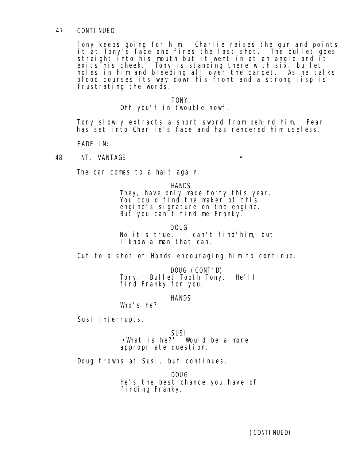### 47 CONTINUED:

Tony keeps going for him. Charlie raises the gun and points it at Tony's face and fires the last shot. The bullet goes straight into his mouth but it went in at an angle and it exits his cheek. Tony is standing there with six. bullet holes in him and bleeding all over the carpet. As he talks blood courses its way down his front and a strong lisp is frustrating the words.

### TONY

Ohh you'f in twouble nowf.

Tony slowly extracts a short sword from behind him. Fear has set into Charlie's face and has rendered him useless.

FADE IN:

48 INT. VANTAGE

The car comes to a halt again.

### HANDS

They, have only made forty this year. You could find the maker of this engine's signature on the engine. But you can't find me Franky.

DOUG

No it's true. I can't find'him, but I know a man that can.

Cut to a shot of Hands encouraging him to continue.

DOUG (CONT'D) Tony. Bullet Tooth Tony. He'll find Franky for you.

**HANDS** 

Who's he?

Susi interrupts.

SUSI •What is he?' Would be a more appropriate question.

Doug frowns at Susi, but continues.

DOUG He's the best chance you have of finding Franky.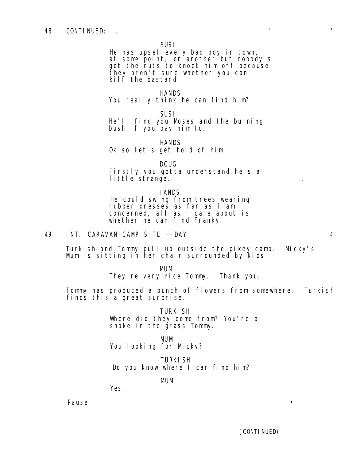#### SUSI

He has upset every bad boy in town, at some point, or another but nobody's got the nuts to knock him off because they aren't sure whether you can kill the bastard.

#### **HANDS**

You really think he can find him?

#### SUSI

He'll find you Moses and the burning bush if you pay him to.

#### HANDS

Ok so let's get hold of him.

#### DOUG

Firstly you gotta understand he's a little strange.

#### **HANDS**

.He could swing from trees wearing rubber dresses as far as I am concerned, all as I care about is whether he can find Franky.

### 49 INT. CARAVAN CAMP SITE --DAY *4*

Turkish and Tommy pull up outside the pikey camp. Micky's Mum is sitting in her chair surrounded by kids.

#### MUM

They're very nice Tommy. Thank you.

Tommy has produced a bunch of flowers from somewhere. Turkish finds this a great surprise.

#### TURKISH

Where did they come from? You're a snake in the grass Tommy.

#### MUM

You looking for Micky?

TURKI SH 'Do you know where I can find him?

### MUM

Yes.

Pause **•**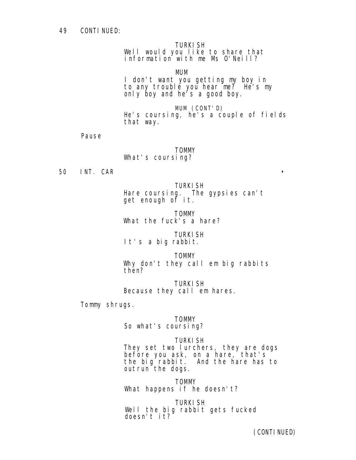**TURKI SH** Well would you like to share that information with me Ms O'Neill?

MUM

I don't want you getting my boy in to any trouble you hear me? He's my only boy and he's a good boy.

MUM (CONT'D) He's coursing, he's a couple of fields that way.

Pause

TOMMY What's coursing?

50 INT. CAR •

TURKISH Hare coursing. The gypsies can't get enough of it.

TOMMY What the fuck's a hare?

TURKISH

It's a big rabbit.

TOMMY Why don't they call em big rabbits then?

TURKISH Because they call em hares.

Tommy shrugs.

TOMMY

So what's coursing?

### TURKISH

They set two lurchers, they are dogs before you ask, on a hare, that's the big rabbit. And the hare has to outrun the dogs.

TOMMY What happens if he doesn't?

TURKI SH Well the big rabbit gets fucked doesn't it?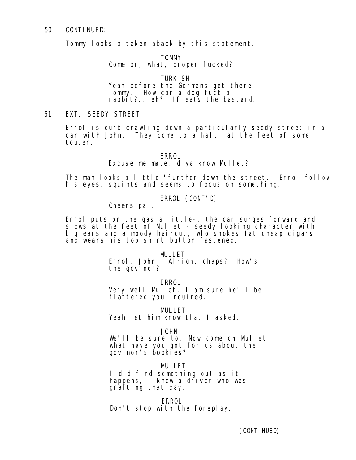Tommy looks a taken aback by this statement.

TOMMY

Come on, what, proper fucked?

TURKISH

Yeah before the Germans get there Tommy. How can a dog fuck a rabbit?...eh? If eats the bastard.

### 51 EXT. SEEDY STREET

Errol is curb crawling down a particularly seedy street in a car with John. They come to a halt, at the feet of some touter.

ERROL

Excuse me mate, d'ya know Mullet?

The man looks a little 'further down the street. Errol follow his eyes, squints and seems to focus on something.

# ERROL (CONT'D)

Cheers pal.

Errol puts on the gas a little-, the car surges forward and slows at the feet of Mullet - seedy looking character with big ears and a moody haircut, who smokes fat cheap cigars and wears his top shirt button fastened.

### MULLET

Errol, John. Alright chaps? How's the gov'nor?

ERROL.

Very well Mullet, I am sure he'll be flattered you inquired.

MULLET

Yeah let him know that I asked.

### JOHN

We'll be sure to. Now come on Mullet what have you got for us about the gov'nor's bookies?

### MULLET

I did find something out as it happens, I knew a driver who was grafting that day.

ERROL Don't stop with the foreplay.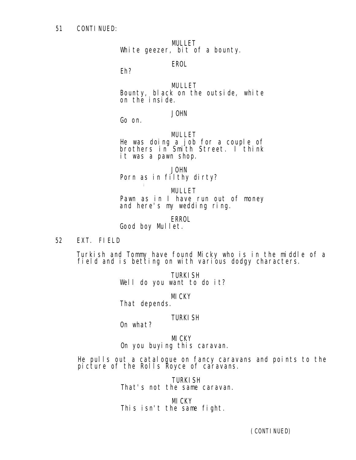# MULLET

White geezer, bit of a bounty.

# EROL

Eh?

# MULLET

Bounty, black on the outside, white on the inside.

# JOHN

Go on.

# MULLET

He was doing a job for a couple of brothers in Smith Street. I think it was a pawn shop.

JOHN

Porn as in filthy dirty?

*i* MULLET Pawn as in I have run out of money and here's my wedding ring.

ERROL

Good boy Mullet.

52 EXT. FIELD

Turkish and Tommy have found Micky who is in the middle of a field and is betting on with various dodgy characters.

> TURKISH Well do you want to do it?

MI CKY That depends.

# **TURKISH**

On what?

MI CKY On you buying this caravan.

He pulls out a catalogue on fancy caravans and points to the picture of the Rolls Royce of caravans.

> TURKISH That's not the same caravan.

MI CKY This isn't the same fight.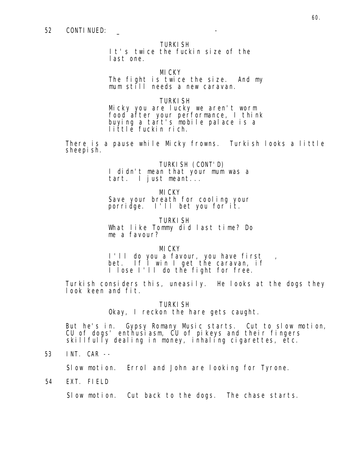# TURKISH

It's twice the fuckin size of the last one.

MICKY

The fight is twice the size. And my mum still needs *a* new caravan.

### TURKISH

Micky you are lucky we aren't worm food after your performance, I think buying a tart's mobile palace is a little fuckin rich.

There is a pause while Micky frowns. Turkish looks a little sheepish.

> TURKISH (CONT'D) I didn't mean that your mum was a tart. I just meant...

> > MI CKY

Save your breath for cooling your porridge. I'll bet you for it.

TURKISH What like Tommy did last time? Do

me a favour?

MI CKY

I'll do you a favour, you have first , bet. If I win I get the caravan, if I lose I'll do the fight for free.

Turkish considers this, uneasily. He looks at the dogs they look keen and fit.

> **TURKI SH** Okay, I reckon the hare gets caught.

But he's in. Gypsy Romany Music starts. Cut to slow motion, CU of dogs' enthusiasm, CU of pikeys and their fingers skillfully dealing in money, inhaling cigarettes, etc.

53 INT. CAR --

Slow motion. Errol and John are looking for Tyrone.

54 EXT. FIELD

Slow motion. Cut back to the dogs. The chase starts.

60.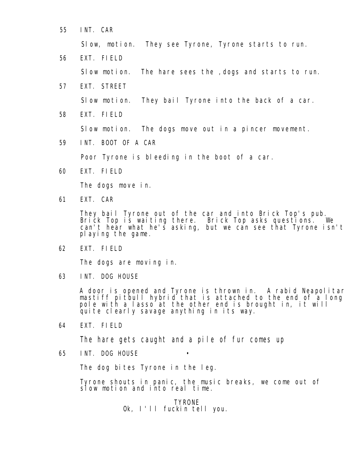55 INT. CAR

Slow, motion. They see Tyrone, Tyrone starts to run.

56 EXT. FIELD

Slow motion. The hare sees the , dogs and starts to run.

- 57 EXT. STREET Slow motion. They bail Tyrone into the back of a car.
- 58 EXT. FIELD Slow motion. The dogs move out in a pincer movement.
- 59 INT. BOOT OF A CAR

Poor Tyrone is bleeding in the boot of a car.

60 EXT. FIELD

The dogs move in.

61 EXT. CAR

They bail Tyrone out of the car and into Brick Top's pub. Brick Top is waiting there. Brick Top asks questions. We can't hear what he's asking, but we can see that Tyrone isn't playing the game.

62 EXT. FIELD

The dogs are moving in.

63 INT. DOG HOUSE

A door is opened and Tyrone is thrown in. A rabid Neapolitan mastiff pitbull hybrid that is attached to the end of a long pole with a lasso at the other end is brought in, it will quite clearly savage anything in its way.

64 EXT. FIELD

The hare gets caught and a pile of fur comes up

65 INT. DOG HOUSE

The dog bites Tyrone in the leg.

Tyrone shouts in panic, the music breaks, we come out of slow motion and into real time.

> TYRONE Ok, I'll fuckin tell you.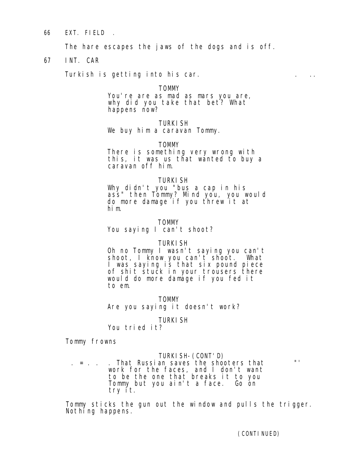#### 66 EXT. FIELD .

The hare escapes the jaws of the dogs and is off.

### 67 INT. CAR

Turkish is getting into his car. . ..

#### TOMMY

You're are as mad as mars you are, why did you take that bet? What happens now?

#### TURKISH

We buy him a caravan Tommy.

#### TOMMY

There is something very wrong with this, it was us that wanted to buy a caravan off him.

#### TURKI SH

Why didn't you "bus a cap in his ass" then Tommy? Mind you, you would do more damage if you threw it at him.

#### TOMMY

You saying *I* can't shoot?

#### TURKISH

Oh no Tommy I wasn't saying you can't shoot, I know you can't shoot. What I was saying is that six pound piece of shit stuck in your trousers there would do more damage if you fed it to em.

#### TOMMY

Are you saying it doesn't work?

#### TURKISH

You tried it?

Tommy frowns

#### TURKISH-(CONT'D)

= . . . That Russian saves the shooters that "' work for the faces, and I don't want to be the one that breaks it to you Tommy but you ain't a face. Go on try it.

Tommy sticks the gun out the window and pulls the trigger. Nothing happens.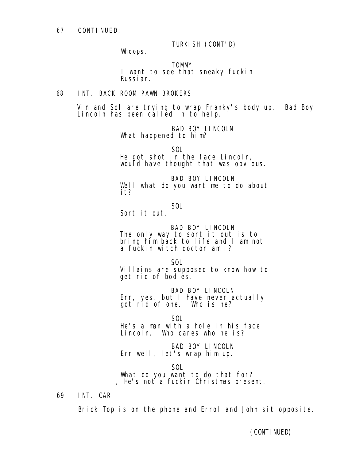### TURKISH (CONT'D)

Whoops.

TOMMY I want to see that sneaky fuckin Russian.

# 68 INT. BACK ROOM PAWN BROKERS

Vin and Sol are trying to wrap Franky's body up. Bad Boy Lincoln has been called in to help.

> BAD BOY LINCOLN What happened to him?

> > SOL

He got shot in the face Lincoln, I would have thought that was obvious.

BAD BOY LINCOLN Well what do you want me to do about it?

#### SOL

Sort it out.

BAD BOY LINCOLN The only way to sort it out is to bring him back to life and I am not a fuckin witch doctor am I?

SOL

Villains are supposed to know how to get rid of bodies.

BAD BOY LINCOLN Err, yes, but I have never actually got rid of one. Who is he?

SOL

He's a man with a hole in his face Lincoln. Who cares who he is?

BAD BOY LINCOLN Err well, let's wrap him up.

SOL

What do you want to do that for? , He's not a fuckin Christmas present.

69 INT. CAR

Brick Top is on the phone and Errol and John sit opposite.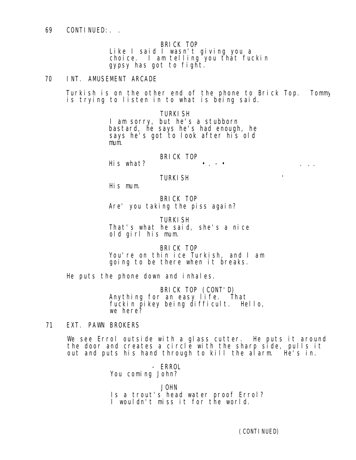#### BRICK TOP

Like I said I wasn't giving you a choice. I am telling you that fuckin gypsy has got to fight.

### 70 INT. AMUSEMENT ARCADE

Turkish is on the other end of the phone to Brick Top. Tommy is trying to listen in to what is being said.

#### TURKI SH

I am sorry, but he's a stubborn bastard, he says he's had enough, he says he's got to look after his old  $m \, \tilde{m}$ 

### BRICK TOP

His what?  $\bullet$  .  $\bullet$ 

# TURKISH '

His mum.

BRICK TOP Are' you taking the piss again?

TURKISH That's what he said, she's a nice old girl his mum.

BRICK TOP You're on thin ice Turkish, and I am going to be there when it breaks.

He puts the phone down and inhales.

BRICK TOP (CONT'D) Anything for an easy life. That fuckin pikey being difficult. Hello, we here?

### 71 EXT. PAWN BROKERS

We see Errol outside with a glass cutter. He puts it around the door and creates a circle with the sharp side, pulls it out and puts his hand through to kill the alarm. He's in.

> - ERROL You coming John?

JOHN Is a trout's head water proof Errol? I wouldn't miss it for the world.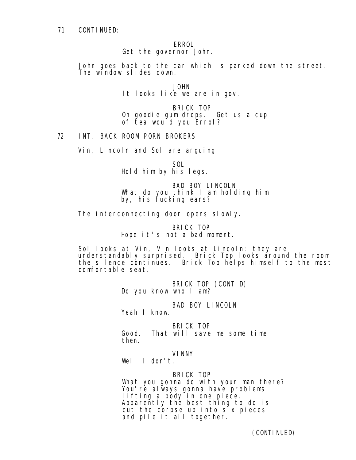#### ERROL

### Get the governor John.

John goes back to the car which is parked down the street. The window slides down.

> JOHN It looks like we are in gov.

BRICK TOP Oh goodie gum drops. Get us a cup of tea would you Errol?

72 INT. BACK ROOM PORN BROKERS

Vin, Lincoln and Sol are arguing

SOL Hold him by his legs.

BAD BOY LINCOLN What do you think I am holding him by, his fucking ears?

The interconnecting door opens slowly.

BRICK TOP Hope it's not a bad moment.

Sol looks at Vin, Vin looks at Lincoln: they are understandably surprised. Brick Top looks around the room the silence continues. Brick Top helps himself to the most comfortable seat.

> BRICK TOP (CONT'D) Do you know who I am?

> > BAD BOY LINCOLN

Yeah I know.

BRICK TOP Good. That will save me some time then.

VINNY

Well I don't.

#### BRICK TOP

What you gonna do with your man there? You're always gonna have problems lifting a body in one piece. Apparently the best thing to do is cut the corpse up into six pieces and pile it all together.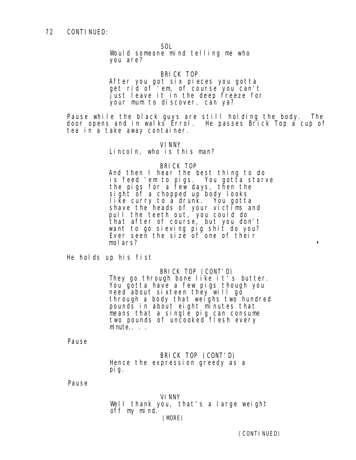SOL

Would someone mind telling me who you are?

### BRICK TOP

After you got six pieces you gotta get rid of 'em, of course you can't just leave it in the deep freeze for your mum to discover, can ya?

Pause while the black guys are still holding the body. The door opens and in walks Errol. He passes Brick Top a cup of tea in a take away container.

#### VINNY

Lincoln, who is this man?

### BRICK TOP

And then I hear the best thing to do is feed 'em to pigs. You gotta starve the pigs for a few days, then the sight of a chopped up body looks like curry to a drunk. You gotta shave the heads of your victims and pull the teeth out, you could do that after of course, but you don't want to go sieving pig shit do you? Ever seen the size of one of their molars?

He holds up his fist

### BRICK TOP (CONT'D)

They go through bone like  $i \tau$ 's butter. You gotta have a few pigs though you need about sixteen they will go through a body that weighs two hundred pounds in about eight minutes that means that a single pig can consume two pounds of uncooked flesh every minute,. . .

Pause

# BRICK TOP (CONT'D) Hence the expression greedy as a pig.

Pause

VINNY Well thank you, that's a large weight off my mind. (MORE)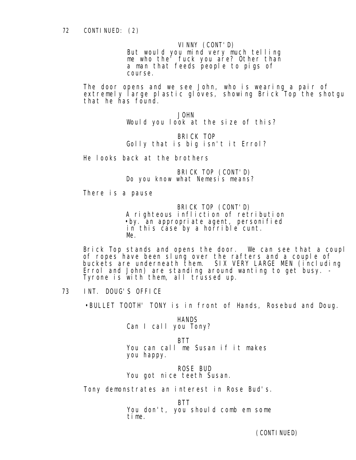VINNY (CONT'D) But would you mind very much telling me who the<sup> $\epsilon$ </sup> fuck you are? Other than a man that feeds people to pigs of course.

The door opens and we see John, who is wearing a pair of extremely large plastic gloves, showing Brick Top the shotgu that he has found.

> JOHN Would you look at the size of this?

BRICK TOP Golly that is big isn't it Errol?

He looks back at the brothers

BRICK TOP (CONT'D) Do you know what Nemesis means?

There is a pause

BRICK TOP (CONT'D) A righteous infliction of retribution •by. an appropriate agent, personified in this case by a horrible cunt. Me.

Brick Top stands and opens the door. We can see that a coupl of ropes have been slung over the rafters and a couple of buckets are underneath them. SIX VERY LARGE MEN (including Errol and John) are standing around wanting to get busy. - Tyrone is with them, all trussed up.

73 INT. DOUG'S OFFICE

•BULLET TOOTH' TONY is in front of Hands, Rosebud and Doug.

**HANDS** Can *I* call you Tony?

BTT You can call me Susan if it makes you happy.

ROSE BUD You got nice teeth Susan.

Tony demonstrates an interest in Rose Bud's.

BTT You don't, you should comb em some time.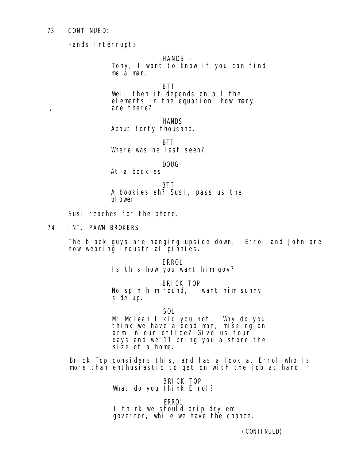Hands interrupts

### HANDS -

Tony, I want to know if you can find me a man.

BTT

Well then it depends on all the elements in the equation, how many , are there?

HANDS About forty thousand.

**BTT** Where was he last seen?

### DOUG<sub></sub>

At a bookies.

BTT A bookies eh? Susi, pass us the blower.

Susi reaches for the phone.

74 INT. PAWN BROKERS

The black guys are hanging upside down. Errol and John are now wearing industrial pinnies.

> ERROL Is this how you want him gov?

> > BRICK TOP

No spin him round, I want him sunny side up.

### SOL

Mr Mclean I kid you not. Why do you think we have a dead man, missing an arm in our office? Give us four days and we'11 bring you a stone the size of a home.

Brick Top considers this, and has a look at Errol who is more than enthusiastic to get on with the job at hand.

> BRICK TOP What do you think Errol?

> > ERROL.

I think we should drip dry em governor, while we have the chance.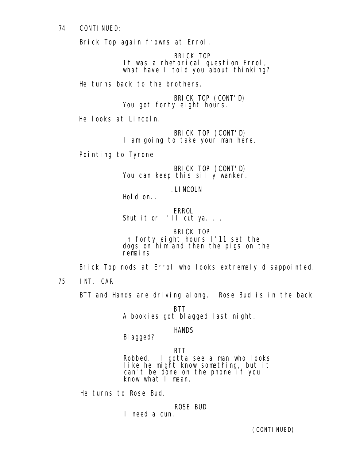# 74 CONTINUED:

Brick Top again frowns at Errol.

BRICK TOP It was a rhetorical question Errol, what have *I* told you about thinking?

He turns back to the brothers.

BRICK TOP (CONT'D) You got forty eight hours.

He looks at Lincoln.

BRICK TOP (CONT'D) I am going to take your man here.

Pointing to Tyrone.

BRICK TOP (CONT'D) You can keep this silly wanker.

.LINCOLN

Hold on..

ERROL Shut it or I'll cut ya. . .

BRICK TOP In forty eight hours I'11 set the dogs on him and then the pigs on the remains.

Brick Top nods at Errol who looks extremely disappointed.

75 INT. CAR

BTT and Hands are driving along. Rose Bud is in the back.

BTT A bookies got blagged last night.

# **HANDS**

Bl agged?

BTT

Robbed. I gotta see a man who looks like he might know something, but it can't be done on the phone if you know what I mean.

He turns to Rose Bud.

### ROSE BUD

I need a cun.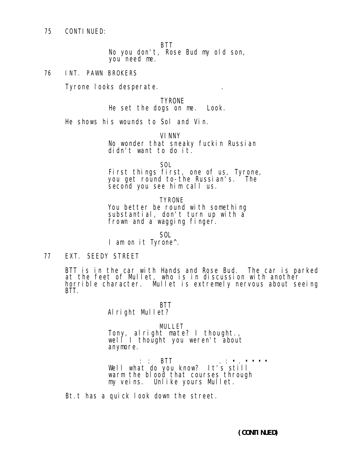BTT

No you don't, Rose Bud my old son, you need me.

### 76 INT. PAWN BROKERS

Tyrone looks desperate. .

#### TYRONE

He set the dogs on me. Look.

He shows his wounds to Sol and Vin.

### VINNY

No wonder that sneaky fuckin Russian didn't want to do it.

SOL

First things first, one of us, Tyrone, you get round to-the Russian's. The second you see him call us.

### TYRONE

You better be round with something substantial, don't turn up with a frown and a wagging finger.

SOL

# I am on it Tyrone^.

### 77 EXT. SEEDY STREET

BTT is in the car with Hands and Rose Bud. The car is parked at the feet of Mullet, who is in discussion with another horrible character. Mullet is extremely nervous about seeing BTT.

### BTT

# Alright Mullet?

### MULLET

Tony, alright mate? I thought., well I thought you weren't about anymore.

: : BTT *. : • . • • • •* Well what do you know? It's still warm the blood that courses through my veins. Unlike yours Mullet.

Bt.t has a quick look down the street.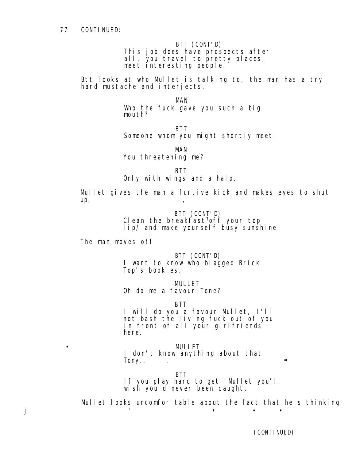BTT (CONT'D) This job does have prospects after all, you travel to pretty places, meet interesting people.

Btt looks at who Mullet is talking to, the man has a try hard mustache and interjects.

> MAN Who the fuck gave you such a big mouth?

**BTT** Someone whom you might shortly meet.

MAN You threatening me?

BTT

Only with wings and a halo.

Mullet gives the man a furtive kick and makes eyes to shut up. ,

BTT (CONT'D)

Clean the breakfast<sup>7</sup>off your top lip/ and make yourself busy sunshine.

The man moves off

BTT (CONT'D) I want to know who blagged Brick Top's bookies.

MULLET Oh do me a favour Tone?

*j* ' • • •

BTT

I will do you a favour Mullet, I'll not bash the living fuck out of you in front of all your girlfriends here.

• MULLET

I don't know anything about that Tony.. . *••*

BTT If you play hard to get 'Mullet you'll wish you'd never been caught.

Mullet looks uncomfor table about the fact that he's thinking.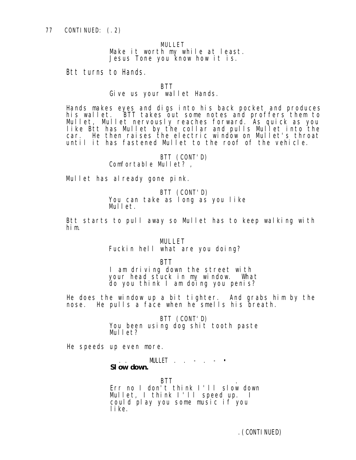MULLET Make it worth my while at least. Jesus Tone you know how it is.

Btt turns to Hands.

**BTT** 

Give us your wallet Hands.

Hands makes eyes and digs into his back pocket and produces his wallet. BTT takes out some notes and proffers them to Mullet, Mullet nervously reaches forward. As quick as you like Btt has Mullet by the collar and pulls Mullet into the car. He then raises the electric window on Mullet's throat until it has fastened Mullet to the roof of the vehicle.

> BTT (CONT'D) Comfortable Mullet? ,

Mullet has already gone pink.

BTT (CONT'D) You can take as long as you like Mullet.

Btt starts to pull away so Mullet has to keep walking with him.

> MULLET Fuckin hell what are you doing?

> > **BTT**

I am driving down the street with your head stuck in my window. What do you think I am doing you penis?

He does the window up a bit tighter. And grabs him by the nose. He pulls a face when he smells his breath.

> BTT (CONT'D) You been using dog shit tooth paste Mullet?

He speeds up even more.

. MILLET . . - . - • **Slow down.**

BTT . Err no I don't think I'll slow down Mullet, I think I'll speed up. I could play you some music if you like.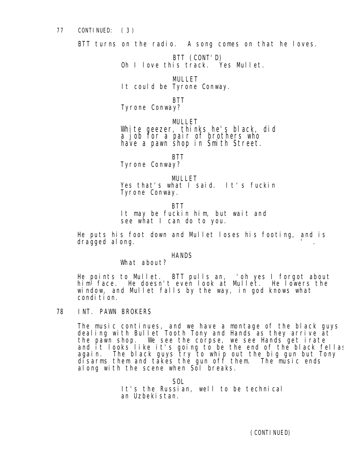# 77 CONTINUED: ( 3 )

BTT turns on the radio. A song comes on that he loves.

BTT (CONT'D) Oh I love this track. Yes Mullet.

MULLET

It could be Tyrone Conway.

# **BTT**

Tyrone Conway?

### MULLET

White geezer, thinks he's black, did a job for a pair of brothers who have a pawn shop in Smith Street.

BTT

Tyrone Conway?

### MULLET

Yes that's what I said. It's fuckin Tyrone Conway.

#### **BTT**

It may be fuckin him, but wait and see what I can do to you.

He puts his foot down and Mullet loses his footing, and is dragged along.

# HANDS

What about?

He points to Mullet. BTT pulls an, 'oh yes I forgot about him<sup>1</sup> face. He doesn't even look at Mullet. He lowers the window, and Mullet falls by the way, in god knows what condition.

# 78 INT. PAWN BROKERS

The music continues, and we have a montage of the black guys dealing with Bullet Tooth Tony and Hands as they arrive at the pawn shop. We see the corpse, we see Hands get irate and it looks like it's going to be the end of the black fella: again. The black guys try to whip out the big gun but Tony disarms them and takes the gun off them. The music ends along with the scene when Sol breaks.

> SOL It's the Russian, well to be technical an Uzbekistan.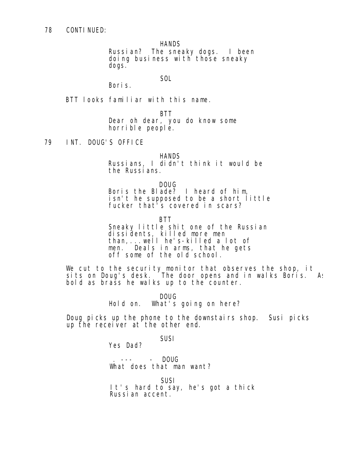Russian? The sneaky dogs. I been doing business with those sneaky dogs.

# SOL

Boris.

BTT looks familiar with this name.

### **BTT**

Dear oh dear, you do know some horrible people.

79 INT. DOUG'S OFFICE

### **HANDS**

Russians, I didn't think it would be the Russians.

# DOUG

Boris the Blade? I heard of him, isn't he supposed to be a short little fucker that's covered in scars?

**BTT** 

Sneaky little shit one of the Russian dissidents, killed more men than,...well he's-killed a lot of men. Deals in arms, that he gets off some of the old school.

We cut to the security monitor that observes the shop, it sits on Doug's desk. The door opens and in walks Boris. As bold as brass he walks up to the counter.

> DOUG Hold on. What's going on here?

Doug picks up the phone to the downstairs shop. Susi picks up the receiver at the other end.

# **SUSI**

Yes Dad?

- DOUG What does that man want?

SUSI It's hard to say, he's got a thick Russian accent.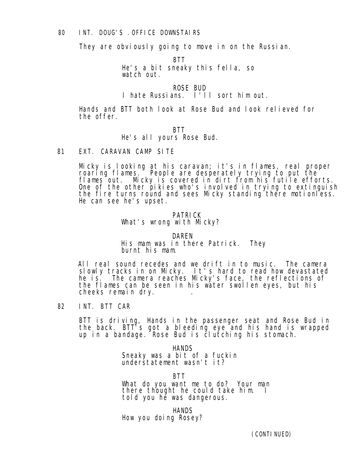# 80 INT. DOUG'S .OFFICE DOWNSTAIRS

They are obviously going to move in on the Russian.

**BTT** 

He's a bit sneaky this fella, so watch out.

# ROSE BUD

*I* hate Russians. I'll sort him out.

Hands and BTT both look at Rose Bud and look relieved for the offer.

# BTT

He's all yours Rose Bud.

# 81 EXT. CARAVAN CAMP SITE

Micky is looking at his caravan; it's in flames, real proper roaring flames. People are desperately trying to put the flames out. Micky is covered in dirt from his futile efforts. One of the other pikies who's involved in trying to extinguish the fire turns round and sees Micky standing there motionless. He can see he's upset.

# PATRICK

What's wrong with Micky?

### DAREN

His mam was in there Patrick. They burnt his mam.

All real sound recedes and we drift in to music. The camera slowly tracks in on Micky. It's hard to read how devastated he is. The camera reaches Micky's face, the reflections of the flames can be seen in his water swollen eyes, but his cheeks remain dry. .

# 82 INT. BTT CAR

BTT is driving, Hands in the passenger seat and Rose Bud in the back. BTT's got a bleeding eye and his hand is wrapped up in a bandage. Rose Bud is clutching his stomach.

> HANDS Sneaky was a bit of a fuckin understatement wasn't it?

> > BTT

What do you want me to do? Your man there thought he could take him. I told you he was dangerous.

**HANDS** How you doing Rosey?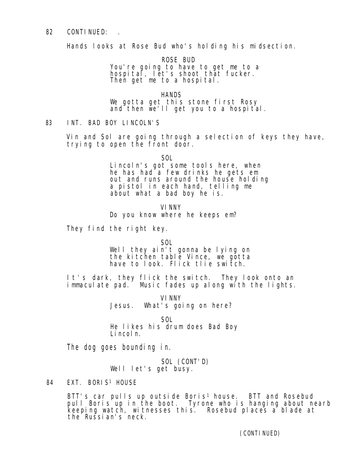# 82 CONTINUED: .

Hands looks at Rose Bud who's holding his midsection.

ROSE BUD You're going to have to get me to a hospital, let's shoot that fucker. Then get me to a hospital.

**HANDS** 

We gotta get this stone first Rosy and then we'll get you to a hospital.

# 83 INT. BAD BOY LINCOLN'S

Vin and Sol are going through a selection of keys they have, trying to open the front door.

SOL

Lincoln's got some tools here, when he has had<sup>"</sup> a few drinks he gets em out and runs around the house holding a pistol in each hand, telling me about what a bad boy he is.

VINNY

Do you know where he keeps em?

They find the right key.

SOL Well they ain't gonna be lying on the kitchen table Vince, we gotta have to look. Flick tlie switch.

It's dark, they flick the switch. They look onto an immaculate pad. Music fades up along with the lights.

> VINNY Jesus. What's going on here?

> > SOL

He likes his drum does Bad Boy Li ncol n.

The dog goes bounding in.

SOL (CONT'D) Well let's get busy.

# 84 EXT. BORIS<sup>1</sup> HOUSE

BTT's car pulls up outside Boris<sup>1</sup> house. BTT and Rosebud pull Boris up in the boot. Tyrone who is hanging about nearb keeping watch, witnesses this. Rosebud places a blade at the Russian's neck.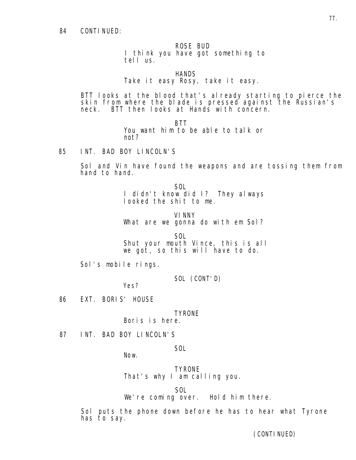# ROSE BUD

I think you have got something to tell us.

**HANDS** 

Take it easy Rosy, take it easy.

BTT looks at the blood that's already starting to pierce the skin from where the blade is pressed against the Russian's neck. BTT then looks at Hands with concern.

> BTT You want him to be able to talk or not?

85 INT. BAD BOY LINCOLN'S

Sol and Vin have found the weapons and are tossing them from hand to hand.

> SOL I didn't know did I? They always looked the shit to me.

> VI NNY What are we gonna do with em Sol?

SOL Shut your mouth Vince, this is all we got, so this will have to do.

Sol's mobile rings.

SOL (CONT'D)

Yes?

86 EXT. BORIS' HOUSE

#### **TYRONE**

Boris is here.

87 INT. BAD BOY LINCOLN'S

# SOL

Now.

TYRONE That's why I am calling you.

SOL

We're coming over. Hold him there.

Sol puts the phone down before he has to hear what Tyrone has to say.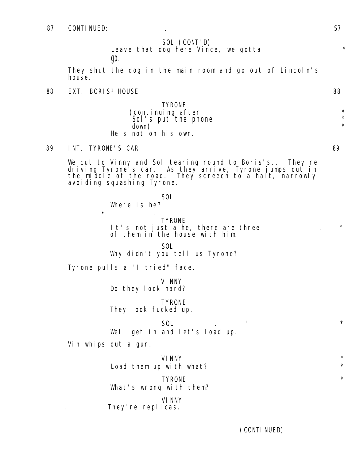SOL (CONT'D) Leave that dog here Vince, we gotta go.

They shut the dog in the main room and go out of Lincoln's house.

88 EXT. BORIS<sup>1</sup> HOUSE 88

TYRONE (continuing after \* Sol's put the phone  $*$ down) \* He's not on his own.

89 INT. TYRONE'S CAR 89

We cut to Vinny and Sol tearing round to Boris's.. They're driving Tyrone's car. As they arrive, Tyrone jumps out in the middle of the road. They screech to a halt, narrowly avoiding squashing Tyrone.

#### SOL

Where is he?

 $\bullet$  . The set of  $\bullet$  is the set of  $\bullet$ 

**TYRONE** It's not just a he, there are three . \* of them in the house with him.

SOL Why didn't you tell us Tyrone?

Tyrone pulls a "I tried" face.

VINNY Do they look hard?

TYRONE They look fucked up.

 $SOL$   $*$ Well get in and let's load up.

Vin whips out a gun.

VINNY \* Load them up with what?

**TYRONE** What's wrong with them?

VI NNY They' re replicas.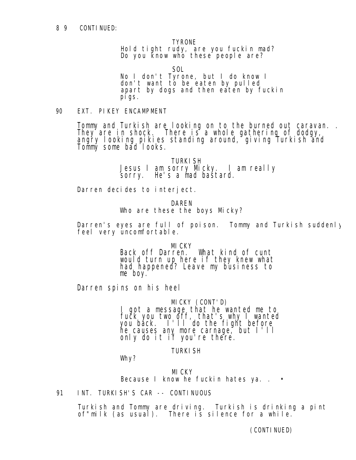**TYRONE** 

Hold tight rudy, are you fuckin mad? Do you know who these people are?

SOL

No I don't Tyrone, but I do know I don't want to be eaten by pulled apart by dogs and then eaten by fuckin pigs.

90 EXT. PIKEY ENCAMPMENT

Tommy and Turkish are looking on to the burned out caravan. . They are in shock. There is a whole gathering of dodgy, angry looking pikies standing around, giving Turkish and Tommy some bad looks.

> TURKISH Jesus I am sorry Micky. I am really sorry. He's a mad bastard.

Darren decides to interject.

DAREN Who are these the boys Micky?

Darren's eyes are full of poison. Tommy and Turkish suddenly feel very uncomfortable.

MICKY

Back off Darren. What kind of cunt would turn up here if they knew what had happened? Leave my bŭsiness to me boy.

Darren spins on his heel

# MICKY (CONT'D)

I got a message that he wanted me to fuck you two off, that's why I wanted you back. I'll do the fight before he causes any more carnage, but I'll only do it if you're there.

# **TURKI SH**

Why?

MI CKY Because I know he fuckin hates ya. . •

91 INT. TURKISH'S CAR -- CONTINUOUS

Turkish and Tommy are driving. Turkish is drinking a pint of"milk (as usual). There is silence for a while.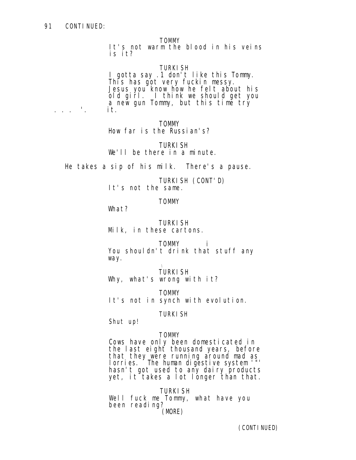### TOMMY

It's not warm the blood in his veins is it?

### TURKISH

I gotta say .1 don't like this Tommy. This has got very fuckin messy. Jesus you know how he felt about his old girl. I think we should get you a new gun Tommy, but this time try . . . '. it.

TOMMY

How far is the Russian's?

TURKISH We'll be there in a minute.

He takes a sip of his milk. There's a pause.

TURKISH (CONT'D) It's not the same.

TOMMY

What?

TURKISH Milk, in these cartons.

TOMMY *i* You shouldn't drink that stuff any way.

\ TURKISH Why, what's wrong with it?

TOMMY It's not in synch with evolution.

# TURKISH

Shut up!

# TOMMY

Cows have only been domesticated in the last eight thousand years, before that they were running around mad as lorries. The human digestive system *'"'* hasn't got used to any dairy products yet, it takes a lot longer than that.

TURKISH Well fuck me Tommy, what have you been reading? (MORE)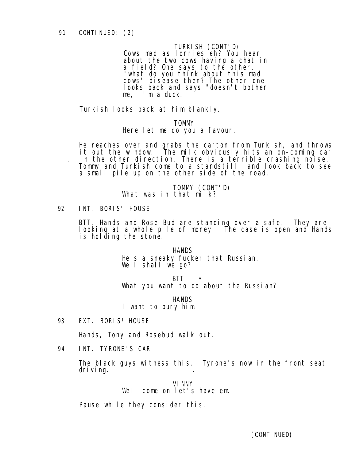TURKISH (CONT'D) Cows mad as lorries eh? You hear about the two cows having a chat in a field? One says to the other, "what do you think about this mad cows' disease then? The other one looks back and says "doesn't bother me, *I'm a* duck.

Turkish looks back at him blankly.

TOMMY

Here let me do you a favour.

He reaches over and grabs the carton from Turkish, and throws it out the window. The milk obviously hits an on-coming car in the other direction. There is a terrible crashing noise. Tommy and Turkish come to a standstill, and look back to see a small pile up on the other side of the road.

> TOMMY (CONT'D) What was in that milk?

# 92 INT. BORIS' HOUSE

BTT, Hands and Rose Bud are standing over a safe. They are looking at a whole pile of money. The case is open and Hands is holding the stone.

> **HANDS** He's a sneaky fucker that Russian. Well shall we go?

BTT What you want to do about the Russian?

**HANDS** I want to bury him.

93 EXT. BORIS<sup>1</sup> HOUSE

Hands, Tony and Rosebud walk out.

94 INT. TYRONE'S CAR

The black guys witness this. Tyrone's now in the front seat driving.

> VI NNY Well come on let's have em.

Pause while they consider this.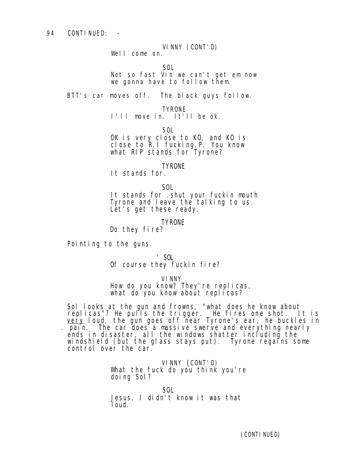#### VINNY (CONT'D) Well come on.

# SOL

Not so fast Vin we can't get em now we gonna have to follow them.

BTT's car moves off. The black guys follow.

TYRONE

I'll move in. It'll be ok.

SOL

OK is very close to KO, and KO is close to R.I fucking.P. You know what RIP stands for Tyrone?

### TYRONE

It stands for.

#### SOL

It stands for .shut your fuckin mouth Tyrone and leave the talking to us. Let's get these ready.

### TYRONE

Do they fire?

Pointing to the guns.

' SOL

Of course they fuckin fire?

VINNY

How do you know? They're replicas, what do you know about replicas?

Sol looks at the gun and frowns, "what does he know about replicas"? He pulls the trigger. He fires one shot. It is very loud, the gun goes off near Tyrone's ear, he buckles in . pain. The car does a massive swerve and everything nearly ends in disaster, all the windows shatter including the windshield (but the glass stays put). Tyrone regains some control over the car.

> VINNY {CONT'D) What the fuck do you think you're doing Sol?

SOL Jesus, I didn't know it was that loud.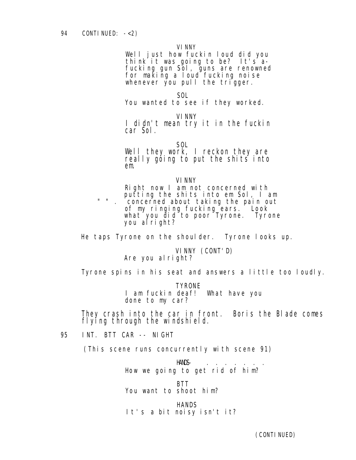#### VINNY

Well just how fuckin loud did you think it was going to be? It's afucking gun Sol, guns are renowned for making a loud fucking noise whenever you pull the trigger.

SOL

You wanted to see if they worked.

VINNY

I didn't mean try it in the fuckin car Sol.

SOL

Well they work, I reckon they are really gŏing to put the shitš into em.

#### VINNY

Right now *I* am not concerned with putting the shits into em Sol, I am " " . concerned about taking the pain out of my ringing fucking ears. Look what you did to poor Tyrone. Tyrone you al right?

He taps Tyrone on the shoulder. Tyrone looks up.

VINNY (CONT'D) Are you alright?

Tyrone spins in his seat and answers a little too loudly.

TYRONE I am fuckin deaf! What have you done to my car?

They crash into the car in front. Boris the Blade comes flying through the windshield.

95 INT. BTT CAR -- NIGHT

*(This scene runs concurrently* with scene *91)*

HANDS- . . . . . . . How we going to get rid of him?

BTT You want to shoot him?

HANDS It's a bit noisy isn't it?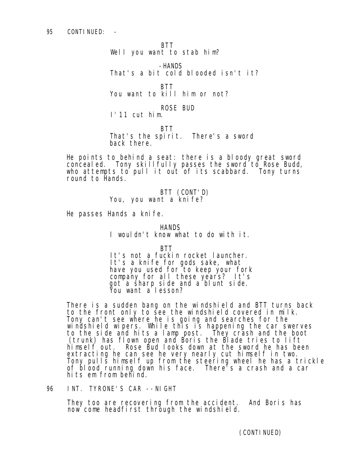BTT

Well you want to stab him?

- HANDS That's a bit cold blooded isn't it?

**BTT** 

You want to kill him or not?

ROSE BUD

 $I'$  11 cut him.

**BTT** That'*s* the spirit. There's a sword back there.

He points to behind a seat: there is a bloody great sword concealed. Tony skillfully passes the sword to Rose Budd, who attempts to pull it out of its scabbard. Tony turns round to Hands.

> BTT (CONT'D) You, you want a knife?

He passes Hands a knife.

HANDS

*I* wouldn't know what to do with it.

BTT

It's not a fuckin rocket launcher. It's a knife for gods sake, what have you used for to keep your fork company for all these years? It's got a sharp side and a blunt side. You want a lesson?

There is a sudden bang on the windshield and BTT turns back to the front only to see the windshield covered in milk. Tony can't see where he is going and searches for the windshield wipers. While this is happening the car swerves to the side and hits a lamp post. They crash and the boot (trunk) has flown open and Boris the Blade tries to lift himself out. Rose Bud looks down at the sword he has been extracting he can see he very nearly cut himself in two. Tony pulls himself up from the steering wheel he has a trickle of blood running down his face. There's a crash and a car hits em from behind.

96 INT. TYRONE'S CAR --NIGHT

They too are recovering from the accident. And Boris has now come headfirst through the windshield.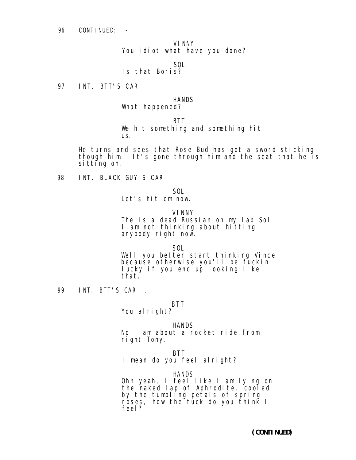VINNY You idiot what have you done?

SOL

# Is that Boris?

97 INT. BTT'S CAR

# **HANDS**

What happened?

BTT

We hit something and something hit us.

He turns and sees that Rose Bud has got a sword sticking though him. It's gone through him and the seat that he is sitting on.

98 INT. BLACK GUY'S CAR

# SOL

Let's hit em now.

# VINNY

The is a dead Russian on my lap Sol I am not thinking about hitting anybody right now.

SOL

Well you better start thinking Vince because otherwise you'll be fuckin lucky if you end up looking like that.

99 INT. BTT'S CAR .

# BTT

You alright?

### HANDS

No I am about a rocket ride from right Tony.

### BTT

*I* mean do you feel alright?

### HANDS

Ohh yeah, I feel like I am lying on the naked lap of Aphrodite, cooled by the tumbling petals of spring roses, how the fuck do you think I feel?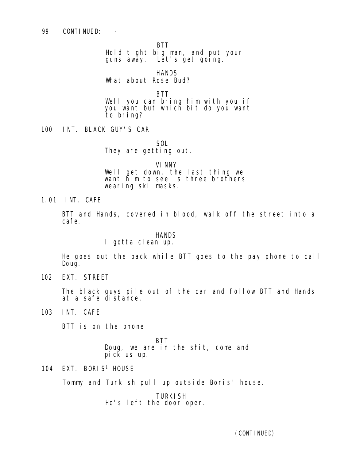**BTT** 

Hold tight big man, and put your guns away. Let's get going.

HANDS What about Rose Bud?

**BTT** 

Well you can bring him with you if you want but which bit do you want to bring?

100 INT. BLACK GUY'S CAR

SOL They are getting out.

VINNY Well get down, the last thing we want him to see is three brothers wearing ski masks.

1.01 INT. CAFE

BTT and Hands, covered in blood, walk off the street into a cafe.

# **HANDS**

# I gotta clean up.

He goes out the back while BTT goes to the pay phone to call Doug.

102 EXT. STREET

The black guys pile out of the car and follow BTT and Hands at a safe distance.

103 INT. CAFE

BTT is on the phone

**BTT** Doug, we are in the shit, come and pick us up.

104 EXT. BORIS<sup>1</sup> HOUSE

Tommy and Turkish pull up outside Boris' house.

TURKISH He's left the door open.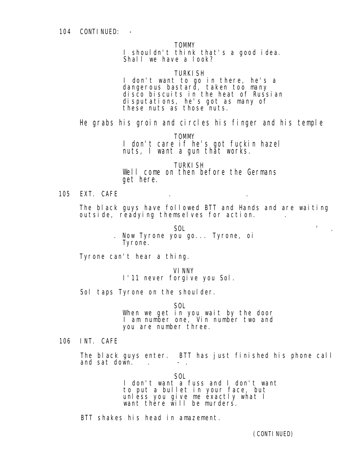#### TOMMY

I shouldn't think that's a good idea. Shall we have a look?

#### TURKISH

I don't want to go in there, he's a dangerous bastard, taken too many disco biscuits in the heat of Russian disputations, he's got as many of these nuts as those nuts.

He grabs his groin and circles his finger and his temple

TOMMY

I don't care if he's got fuckin hazel nuts, I want a gun that works.

**TURKI SH** Well come on then before the Germans get here.

105 EXT. CAFE

The black guys have followed BTT and Hands and are waiting outside, readying themselves for action.

> $SOL$   $\qquad \qquad \qquad$ . Now Tyrone you go... Tyrone, oi Tyrone.

Tyrone can't hear a thing.

VINNY I'11 never forgive you Sol.

Sol taps Tyrone on the shoulder.

SOL

When we get in you wait by the door I am number one, Vin number two and you are number three.

106 INT. CAFE

The black guys enter. BTT has just finished his phone call and sat down. .

SOL

I don't want a fuss and I don't want to put a bullet in your face, but unless you give me exactly what I want there will be murders.

BTT shakes his head in amazement.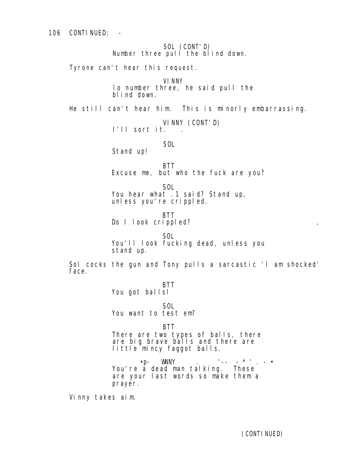# SOL (CONT'D) Number three pull the blind down.

Tyrone can't hear this request.

VINNY lo number three, he said pull the blind down.

He still can't hear him. This is minorly embarrassing.

VINNY (CONT'D)

I'll sort it.

# SOL

Stand up!

BTT Excuse me, but who the fuck are you?

SOL

You hear what .1 said? Stand up, unless you're crippled.

BTT

Do I look crippled?

SOL

You'll look fucking dead, unless you stand up.

Sol cocks the gun and Tony pulls a sarcastic 'I am shocked' face.

# **BTT**

You got ballsl

SOL

You want to test em?

# **BTT**

There are two types of balls, there are big brave balls and there are little mincy faggot balls.

•p- WNNY . '-- *- \* ' . - •* You're a dead man talking. These are your last words so make them a prayer.

Vinny takes aim.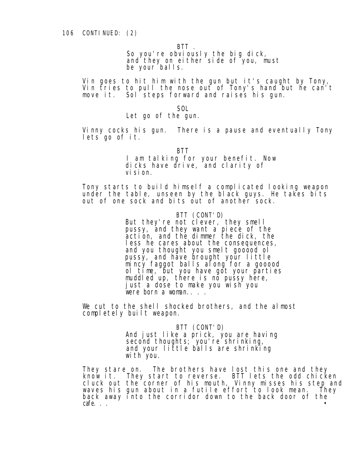BTT .

So you're obviously the big dick, and they on either side of you, must be your balls.

Vin goes to hit him with the gun but it's caught by Tony, Vin tries to pull the nose out of Tony's hand but he can't move it. Sol steps forward and raises his gun.

SOL

Let go of the gun.

Vinny cocks his gun. There is a pause and eventually Tony lets go of it.

BTT

I am talking for your benefit. Now dicks have drive, and clarity of vision.

Tony starts to build himself a complicated looking weapon under the table, unseen by the black guys. He takes bits out of one sock and bits out of another sock.

BTT (CONT'D)

But they're not clever, they smell pussy, and they want a piece of the action, and the dimmer the dick, the less he cares about the consequences, and you thought you smelt gooood ol pussy, and have brought your little mincy faggot balls along for a gooood ol time, but you have got your parties muddled up, there is no pussy here, just a dose to make you wish you were born a woman.. . .

We cut to the shell shocked brothers, and the almost completely built weapon.

> BTT (CONT'D) And just like a prick, you are having second thoughts; you're shrinking, and your little balls are shrinking with you.

They stare on. The brothers have lost this one and they know it. They start to reverse. BTT lets the odd chicken cluck out the corner of his mouth, Vinny misses his step and waves his gun about in a futile effort to look mean. They back away into the corridor down to the back door of the<br>cafe .. cafe. . . •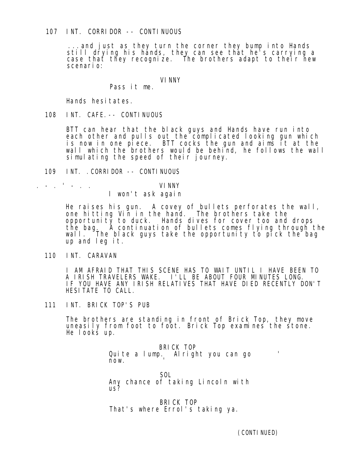...and just as they turn the corner they bump into Hands still drying his hands, they can see that he's carrying a case that they recognize. The brothers adapt to their new scenario:

### VINNY

Pass it me.

Hands hesitates.

108 INT. CAFE.-- CONTINUOUS

BTT can hear that the black guys and Hands have run into each other and pulls out the complicated looking gun which is now in one piece. BTT cocks the gun and aims it at the wall which the brothers would be behind, he follows the wall simulating the speed of their journey.

109 INT. .CORRIDOR -- CONTINUOUS

 $\blacksquare$  - . .  $\blacksquare$  . VI NNY

I won't ask again

He raises his gun. A covey of bullets perforates the wall, one hitting Vin in the hand. The brothers take the opportunity to duck. Hands dives for cover too and drops the bag. A continuation of bullets comes flying through the wall. The black guys take the opportunity to pick the bag up and leg it.

110 INT. CARAVAN

I AM AFRAID THAT THIS SCENE HAS TO WAIT UNTIL I HAVE BEEN TO A IRISH TRAVELERS WAKE. I'LL BE ABOUT FOUR MINUTES LONG. IF YOU HAVE ANY IRISH RELATIVES THAT HAVE DIED RECENTLY DON'T HESITATE TO CALL.

111 INT. BRICK TOP'S PUB

The brothers are standing in front of Brick Top, they move uneasily from foot to foot. Brick Top examines the stone. He looks up.

> BRICK TOP Quite a lump. Alright you can go ' now.

SOL Any chance of taking Lincoln with us?

BRICK TOP That's where Errol's taking ya.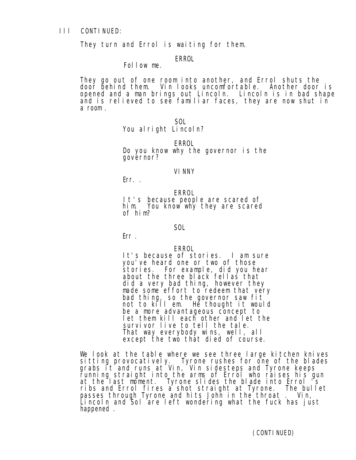# Ill CONTINUED:

They turn and Errol is waiting for them.

# ERROL

Follow me.

They go out of one room into another, and Errol shuts the door behind them. Vin looks uncomfortable. Another door is door behind them. Vin looks uncomfortable. opened and a man brings out Lincoln. Lincoln is in bad shape and is relieved to see familiar faces, they are now shut in a room .

SOL

You al right Lincoln?

ERROL

Do you know why the governor is the governor?

#### VINNY

Err. .

#### ERROL

It's because people are scared of him. You know why they are scared of him?

### SOL

Err .

#### ERROL

It's because of stories. I am sure you've heard one or two of those stories. For example, did you hear about the three black fellas that did a very bad thing, however they made some effort to redeem that very bad thing, so the governor saw fit not to kill em. He thought it would be a more advantageous concept to let them kill each other and let the survivor live to tell the tale. That way everybody wins, well, all except the two that died of course.

We look at the table where we see three large kitchen knives sitting provocatively. Tyrone rushes for one of the blades grabs it and runs at Vin, Vin sidesteps and Tyrone keeps running straight into the arms of Errol who raises his gun at the last moment. Tyrone slides the blade into Errol 's ribs and Errol fires a shot straight at Tyrone. The bullet passes through Tyrone and hits John in the throat . Vin, Lincoln and Sol are left wondering what the fuck has just happened .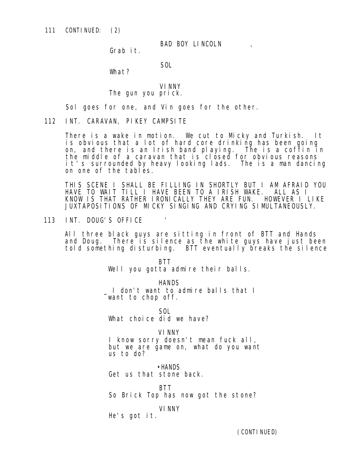BAD BOY LINCOLN

Grab it.

What?

SOL

# VINNY The gun you prick.

Sol goes for one, and Vin goes for the other.

# 112 INT. CARAVAN, PIKEY CAMPSITE

There is a wake in motion. We cut to Micky and Turkish. It is obvious that a lot of hard core drinking has been going on, and there is an Irish band playing. The is a coffin in the middle of a caravan that is closed for obvious reasons it's surrounded by heavy looking lads. The is a man dancing on one of the tables.

THIS SCENE I SHALL BE FILLING IN SHORTLY BUT I AM AFRAID YOU<br>HAVE TO WAIT TILL I HAVE BEEN TO A IRISH WAKE. ALL AS I HAVE TO WAIT TILL I HAVE BEEN TO A IRISH WAKE. KNOW IS THAT RATHER IRONICALLY THEY ARE FUN. HOWEVER I LIKE JUXTAPOSITIONS OF MICKY SINGING AND CRYING SIMULTANEOUSLY.

# 113 INT. DOUG'S OFFICE '

All three black guys are sitting in front of BTT and Hands and Doug. There is silence as the white guys have just been told something disturbing. BTT eventually breaks the silence

> BTT Well you gotta admire their balls.

**HANDS** *I* don't want to admire balls that I want to chop off.

SOL

What choice did we have?

# VINNY

I know sorry doesn't mean fuck all, but we are game on, what do you want us to do?

•HANDS Get us that stone back.

BTT So Brick Top has now got the stone?

VINNY

He's got it.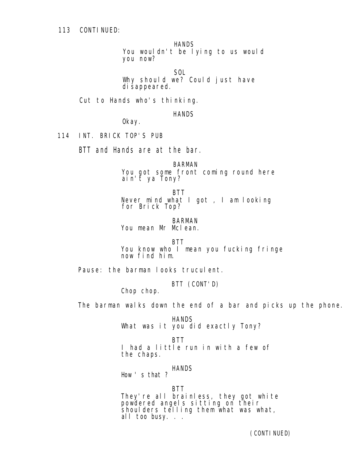You wouldn't be lying to us would you now?

SOL

Why should we? Could just have di sappeared.

Cut to Hands who's thinking.

### **HANDS**

Okay.

114 INT. BRICK TOP'S PUB

BTT and Hands are at the bar.

BARMAN You got some front coming round here ain't ya Tony?

BTT Never mind what I got , I am looking for Brick Top?

BARMAN You mean Mr Mclean.

**BTT** You know who I mean you fucking fringe now find him.

Pause: the barman looks truculent.

BTT (CONT'D)

Chop chop.

The barman walks down the end of a bar and picks up the phone.

HANDS What was it you did exactly Tony?

### BTT

I had a little run in with a few of the chaps.

# HANDS

How ' s that ?

### BTT

They're all brainless, they got white powdered angels sitting on their shoulders telling them what was what, all too busy. . .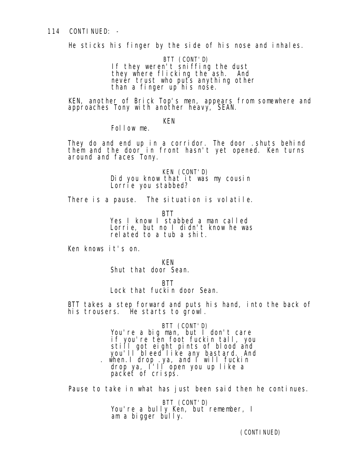He sticks his finger by the side of his nose and inhales.

BTT (CONT'D) If they weren't sniffing the dust they where flicking the ash. And never trust who puts anything other than a finger up his nose.

KEN, another of Brick Top's men, appears from somewhere and approaches Tony with another heavy, SEAN.

# KEN

Follow me.

They do and end up in a corridor. The door .shuts behind them and the door in front hasn't yet opened. Ken turns around and faces Tony.

> KEN (CONT'D) Did you know that it was my cousin Lorrie you stabbed?

There is a pause. The situation is volatile.

BTT Yes I know I stabbed a man called Lorrie, but no I didn't know he was related to a tub a shit.

Ken knows it's on.

KEN Shut that door Sean.

BTT

Lock that fuckin door Sean.

BTT takes a step forward and puts his hand, into the back of his trousers. He starts to growl.

# BTT (CONT'D)

You're a big man, but I don't care if you're ten foot fuckin tall, you still got eight pints of blood and you'll bleed like any bastard. And . when.I drop .ya, and I will fuckin drop ya, I'll open you up like a packet of crisps.

Pause to take in what has just been said then he continues.

BTT (CONT'D) You're a bully Ken, but remember, I am a bigger bully.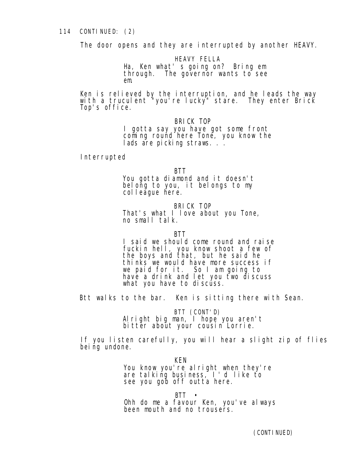The door opens and they are interrupted by another HEAVY.

HEAVY FELLA Ha, Ken what' s going on? Bring em through. The governor wants to see em.

Ken is relieved by the interruption, and he leads the way with a truculent "you're lucky" stare. They enter Brick Top's office.

BRICK TOP

I gotta say you have got some front coming round here Tone, you know the lads are picking straws. . .

Interrupted

BTT

You gotta diamond and it doesn't belong to you, it belongs to my colleague here.

BRICK TOP That's what *I* love about you Tone, no small talk.

**BTT** 

I said we should come round and raise fuckin hell, you know shoot a few of the boys and that, but he said he thinks we would have more success if we paid for it. So I am going to have a drink and let you two discuss what you have to discuss.

Btt walks to the bar. Ken is sitting there with Sean.

BTT (CONT'D) Alright big man, I hope you aren't bitter about your cousin Lorrie.

If you listen carefully, you will hear a slight zip of flies being undone.

KEN

You know you're alright when they're are talking business, I' d like to see you gob off outta here.

 $BTT$  •

Ohh do me a favour Ken, you've always been mouth and no trousers.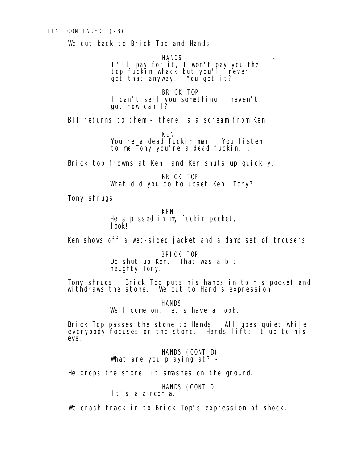We cut back to Brick Top and Hands

HANDS -

I'll pay for it, I won't pay you the top fuckin whack but you'll never get that anyway. You got it?

BRICK TOP I can't sell you something I haven't got now can I?

BTT returns to them - there is a scream from Ken

KEN

You're a dead fuckin man. You listen to me Tony you're a dead fuckin...

Brick top frowns at Ken, and Ken shuts up quickly.

BRICK TOP What did you do to upset Ken, Tony?

Tony shrugs

KEN He's pissed in my fuckin pocket, look!

Ken shows off a wet-sided jacket and a damp set of trousers.

BRICK TOP Do shut up Ken. That was a bit naughty Tony.

Tony shrugs. Brick Top puts his hands in to his pocket and withdraws the stone. We cut to Hand's expression.

> **HANDS** Well come on, let's have a look.

Brick Top passes the stone to Hands. All goes quiet while everybody focuses on the stone. Hands lifts it up to his eye.

> HANDS (CONT'D) What are you playing at? -

He drops the stone: it smashes on the ground.

HANDS (CONT'D) It's a zirconia.

We crash track in to Brick Top's expression of shock.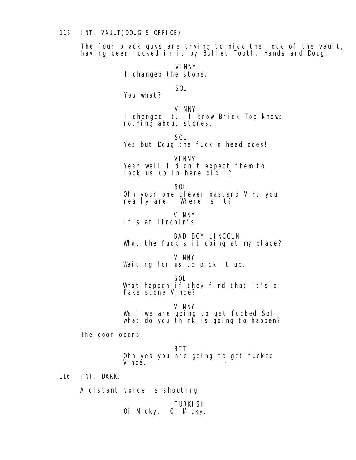# 115 INT. VAULT(DOUG'S OFFICE)

The four black guys are trying to pick the lock of the vault, having been locked in it by Bullet Tooth, Hands and Doug.

> VINNY I changed the stone.

> > SOL

You what?

VINNY I changed it. I know Brick Top knows nothing about stones.

SOL Yes but Doug the fuckin head does!

VINNY Yeah well I didn't expect them to lock us up in here did I?

SOL Ohh your one clever bastard Vin, you really are. Where is it?

VINNY It's at Lincoln's.

BAD BOY LINCOLN What the fuck's it doing at my place?

VINNY Waiting for us to pick it up.

SOL What happen if they find that it's a fake stone Vince?

VINNY Well we are going to get fucked Sol what do you think is going to happen?

The door opens.

**BTT** Ohh yes you are going to get fucked Vi nce.

116 INT. DARK.

A distant voice is shouting

TURKI SH<br>Oi Micky. Oi Micky. Oi Micky.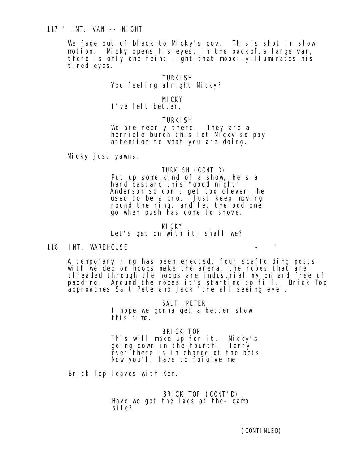# 117 ' INT. VAN -- NIGHT

We fade out of black to Micky's pov. Thisis shot in slow motion. Micky opens his eyes, in the backof.a large van, there is only one faint light that moodilyilluminates his tired eyes.

> TURKISH You feeling alright Micky?

> > MI CKY

I've felt better.

# TURKI SH

We are nearly there. They are a horrible bunch this lot Micky so pay attention to what you are doing.

Micky just yawns.

# TURKISH (CONT'D)

Put up some kind of a show, he's a hard bastard this "good night" Anderson so don't get too clever, he used to be a pro. Just keep moving round the ring, and let the odd one go when push has come to shove.

### MI CKY

Let's get on with it, shall we?

### 118 INT. WAREHOUSE

A temporary ring has been erected, four scaffolding posts with welded on hoops make the arena, the ropes that are threaded through the hoops are industrial nylon and free of padding. Around the ropes it's starting to fill. Brick Top approaches Salt Pete and Jack 'the all seeing eye'.

> SALT, PETER I hope we gonna get a better show this time.

### BRICK TOP

This will make up for it. Micky's going down in the fourth. Terry over there is in charge of the bets. Now you'll have to forgive me.

Brick Top leaves with Ken.

BRICK TOP (CONT'D) Have we got the lads at the- camp site?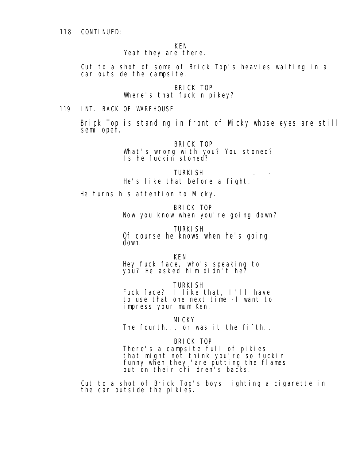# KEN

# Yeah they are there.

Cut to a shot of some of Brick Top's heavies waiting in a car outside the campsite.

# BRICK TOP Where's that fuckin pikey?

119 INT. BACK OF WAREHOUSE

Brick Top is standing in front of Micky whose eyes are still semi open.

> BRICK TOP What's wrong with you? You stoned? Is he fuckin stoned?

TURKI SH He's like that before a fight.

He turns his attention to Micky.

BRICK TOP

Now you know when you're going down?

TURKISH Of course he knows when he's going down.

KEN

Hey fuck face, who's speaking to you? He asked him didn't he?

**TURKI SH** 

Fuck face? I like that, I'll have to use that one next time -I want to impress your mum Ken.

MI CKY

The fourth... or was it the fifth..

# BRICK TOP

There's a campsite full of pikies that might not think you're so fuckin funny when they 'are putting the flames out on their children's backs.

Cut to a shot of Brick Top's boys lighting a cigarette in the car outside the pikies.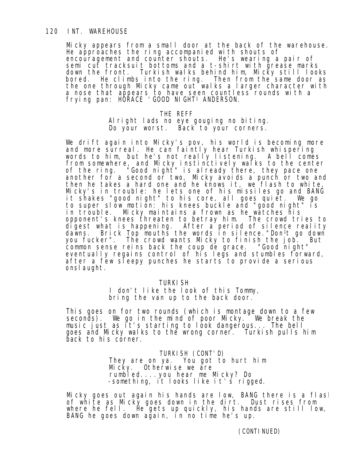Micky appears from a small door at the back of the warehouse. He approaches the ring accompanied with shouts of encouragement and counter shouts. He's wearing a pair of semi cut tracksuit bottoms and a t-shirt with grease marks down the front. Turkish walks behind him, Micky still looks bored. He climbs into the ring. Then from the same door as the one through Micky came out walks a larger character with a nose that appears to have seen countless rounds with a frying pan: HORACE 'GOOD NIGHT<sup>1</sup> ANDERSON.

### THE REFF

Alright lads no eye gouging no biting. Do your worst. Back to your corners.

We drift again into Micky's pov, his world is becoming more and more surreal. He can faintly hear Turkish whispering words to him, but he's not really listening. A bell comes from somewhere, and Micky instinctively walks to the center of the ring. "Good night" is already there, they pace one another for a second or two, Micky avoids a punch or two and then he takes a hard one and he knows it, we flash to white, Micky's in trouble: he lets one of his missiles go and BANG it shakes "good night" to his core, all goes quiet. We go to super slow motion: his knees buckle and "good night" is in trouble. Micky maintains a frown as he watches his opponent's knees threaten to betray him. The crowd tries to digest what is happening. After a period of silence reality dawns. Brick Top mouths the words in silence."Don<sup>i</sup>t go down you fucker". The crowd wants Micky to finish the job. But common sense reins back the coup de grace. "Good night" eventually regains control of his legs and stumbles forward, after a few sleepy punches he starts to provide a serious onslaught.

# **TURKI SH**

I don't like the look of this Tommy, bring the van up to the back door.

This goes on for two rounds (which is montage down to a few seconds). We go in the mind of poor Micky. We break the music just as it's starting to look dangerous... The bell goes and Micky walks to the wrong corner. Turkish pulls him back to his corner.

> TURKISH (CONT'D) They are on ya. You got to hurt him Micky. Otherwise we are rumbled....you hear me Micky? Do -something, it looks like it's rigged.

Micky goes out again his hands are low, BANG there is a flas! of white as Micky goes down in the dirt. Dust rises from where he fell. He gets up quickly, his hands are still low, BANG he goes down again, in no time he's up.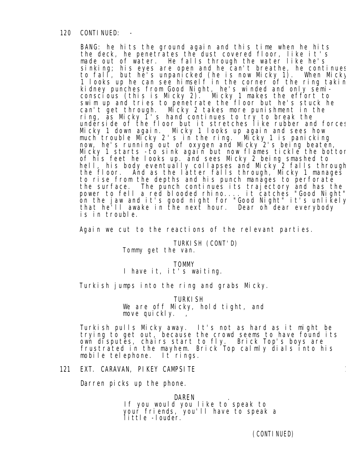BANG: he hits the ground again and this time when he hits the deck, he penetrates the dust covered floor, like it 's made out of water. He falls through the water like he's sinking; his eyes are open and he can't breathe, he continues to fall, but he's unpanicked (he is now Micky 1). When Micky 1 looks up he can see himself in the corner of the ring takir kidney punches from Good Night, he's winded and only semiconscious (this is Micky 2). Micky 1 makes the effort to swim up and tries to penetrate the floor but he's stuck he can't get through. Micky 2 takes more punishment in the ring, as Micky I's hand continues to try to break the underside of the floor but it stretches like rubber and forces Micky 1 down again. Micky 1 looks up again and sees how much trouble Micky 2's in the ring. Micky 1 is panicking now, he's running out of oxygen and Micky 2's being beaten, Micky 1 starts - to sink again but now flames tickle the bottom of his feet he looks up. and sees Micky 2 being smashed to hell, his body eventually collapses and Micky 2 falls through the floor. And as the latter falls through, Micky 1 manages to rise from the depths and his punch manages to perforate the surface. The punch continues its trajectory and has the power to fell a red blooded rhino.... it catches "Good Night" on the jaw and it's good night for "Good Night" it's unlikely that he'll awake in the next hour. Dear oh dear everybody is in trouble.

Again we cut to the reactions of the relevant parties.

TURKISH (CONT'D)

Tommy get the van.

### TOMMY

I have it, it's waiting.

Turkish jumps into the ring and grabs Micky.

TURKISH We are off Micky, hold tight, and move quickly.,

Turkish pulls Micky away. It's not as hard as it might be trying to get out, because the crowd seems to have found its own disputes, chairs start to fly. Brick Top's boys are frustrated in the mayhem. Brick Top calmly dials into his mobile telephone. It rings.

# 121 EXT. CARAVAN, PIKEY CAMPSITE

Darren picks up the phone.

### **DAREN**

If you would you like to speak to your friends, you'll have to speak a little -louder.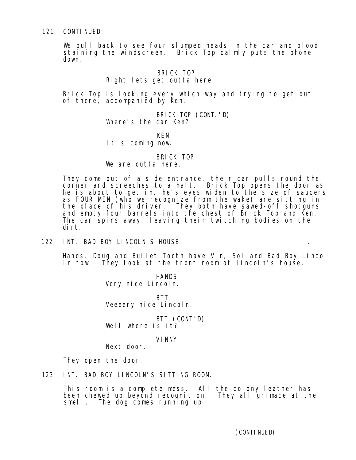# 121 CONTINUED:

We pull back to see four slumped heads in the car and blood staining the windscreen. Brick Top calmly puts the phone down.

### BRICK TOP

# Right lets get outta here.

Brick Top is looking every which way and trying to get out of there, accompanied by Ken.

> BRICK TOP (CONT.'D) Where'*s* the car Ken?

> > KEN

It's coming now.

# BRICK TOP

### We are outta here.

They come out of a side entrance, their car pulls round the corner and screeches to a halt. Brick Top opens the door as he is about to get in, he's eyes widen to the size of saucers as FOUR MEN (who we recognize from the wake) are sitting in the place of his driver. They both have sawed-off shotguns and empty four barrels into the chest of Brick Top and Ken. The car spins away, leaving their twitching bodies on the dirt.

# 122 INT. BAD BOY LINCOLN'S HOUSE . :

Hands, Doug and Bullet Tooth have Vin, Sol and Bad Boy Lincol in tow. They look at the front room of Lincoln's house.

> **HANDS** Very nice Lincoln.

**BTT** Veeeery nice Lincoln.

BTT (CONT'D) Well where is it?

# VINNY

Next door.

They open the door.

# 123 INT. BAD BOY LINCOLN'S SITTING ROOM.

This room is a complete mess. All the colony leather has been chewed up beyond recognition. They all grimace at the smell. The dog comes running up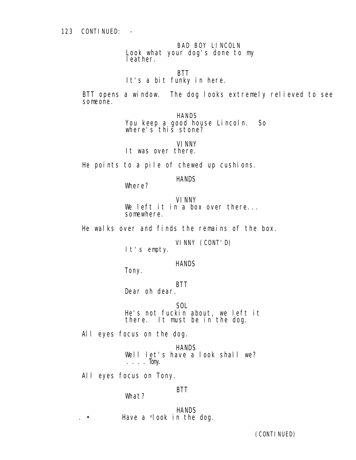BAD BOY LINCOLN Look what your dog's done to my leather.

BTT

It's a bit funky in here.

BTT opens a window. The dog looks extremely relieved to see someone.

> **HANDS** You keep a good house Lincoln. So where's this stone?

VINNY It was over there.

He points to a pile of chewed up cushions.

**HANDS** 

Where?

VI NNY We left it in a box over there... somewhere.

He walks over and finds the remains of the box.

VINNY (CONT'D)

It's empty.

**HANDS** 

Tony.

BTT

Dear oh dear.

SOL He's not fuckin about, we left it there. It must be in the dog.

All eyes focus on the dog.

**HANDS** Well let's have a look shall we?  $\ldots$  Tony.

All eyes focus on Tony.

# BTT

What?

**HANDS** . • Have *a* <sup>v</sup>look in the dog.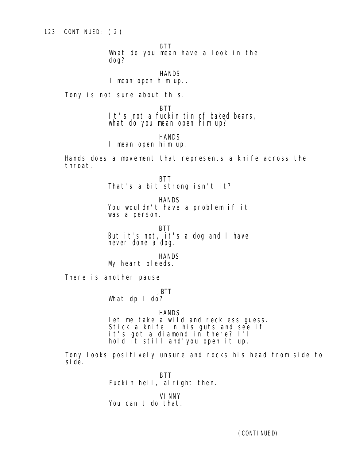**BTT** 

What do you mean have a look in the dog?

HANDS I mean open him up..

Tony is not sure about this.

**BTT** It's not a fuckin tin of baked beans, what do you mean open him up?

**HANDS** 

I mean open him up.

Hands does a movement that represents a knife across the throat.

BTT

That's a bit strong isn't it?

**HANDS** 

You wouldn't have a problem if it was a person.

BTT But it's not, it's a dog and I have never done a dog.

HANDS My heart bleeds.

There is another pause

,BTT What dp I do?

HANDS

Let me take a wild and reckless guess. Stick a knife in his guts and see if it's got a diamond in there? I'll hold it still and'you open it up.

Tony looks positively unsure and rocks his head from side to side.

> **BTT** Fuckin hell, alright then.

VI NNY You can't do that.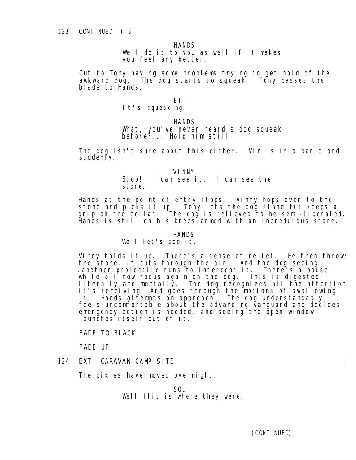Well do it to you as well if it makes you feel any better.

Cut to Tony having some problems trying to get hold of the awkward dog. The dog starts to squeak. Tony passes the blade to Hands.

#### BTT

It's squeaking.

### **HANDS**

What, you've never heard a dog squeak before?... Hold him still.

The dog isn't sure about this either. Vin is in a panic and sudden<sup>T</sup>y.

# VINNY Stop! I can see it. I can see the stone.

Hands at the point of entry stops. Vinny hops over to the stone and picks it up. Tony lets the dog stand but keeps a grip oh the collar. The dog is relieved to be semi-liberated. Hands is still on his knees armed with an incredulous stare.

#### HANDS

# Well let's see it.

Vinny holds it up. There's a sense of relief. He then throws the stone, it cuts through the air. And the dog seeing .another projectile runs to intercept it. There's a pause while all now focus again on the dog. This is digested literally and mentally. The dog recognizes all the attention it's receiving. And goes through the motions of swallowing it. Hands attempts an approach. The dog understandably feels uncomfortable about the advancing vanguard and decides emergency action is needed, and seeing the open window launches itself out of it.

FADE TO BLACK

FADE UP

# 124 EXT. CARAVAN CAMP SITE ;

The pikies have moved overnight.

SOL Well this is where they were.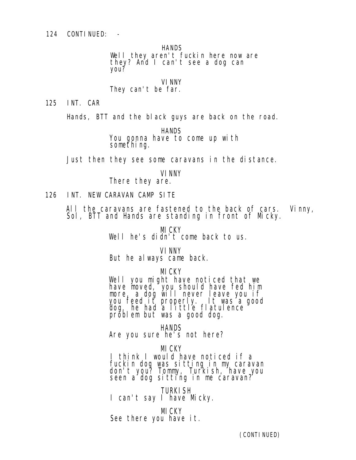Well they aren't fuckin here now are they? And I can't see a dog can you?

VINNY

# They can't be far.

125 INT. CAR

Hands, BTT and the black guys are back on the road.

HANDS

You gonna have to come up with something.

Just then they see some caravans in the distance.

# VINNY

There they are.

126 INT. NEW CARAVAN CAMP SITE

All the caravans are fastened to the back of cars. Vinny, Sol, BTT and Hands are standing in front of Micky.

MI CKY

Well he's didn't come back to us.

VINNY

But he always came back.

# MI CKY

Well you might have noticed that we have moved, you should have fed him more, a dog will never leave you if you feed it properly. It was a good dog, he had a little flatulence problem but was a good dog.

HANDS

Are you sure he's not here?

# MI CKY

I think I would have noticed if a fuckin dog was sitting in my caravan don't you? Tommy, Turkish, have you seen a dog sitting in me caravan?

TURKISH *I* can't say I have Micky.

MI CKY See there you have it.